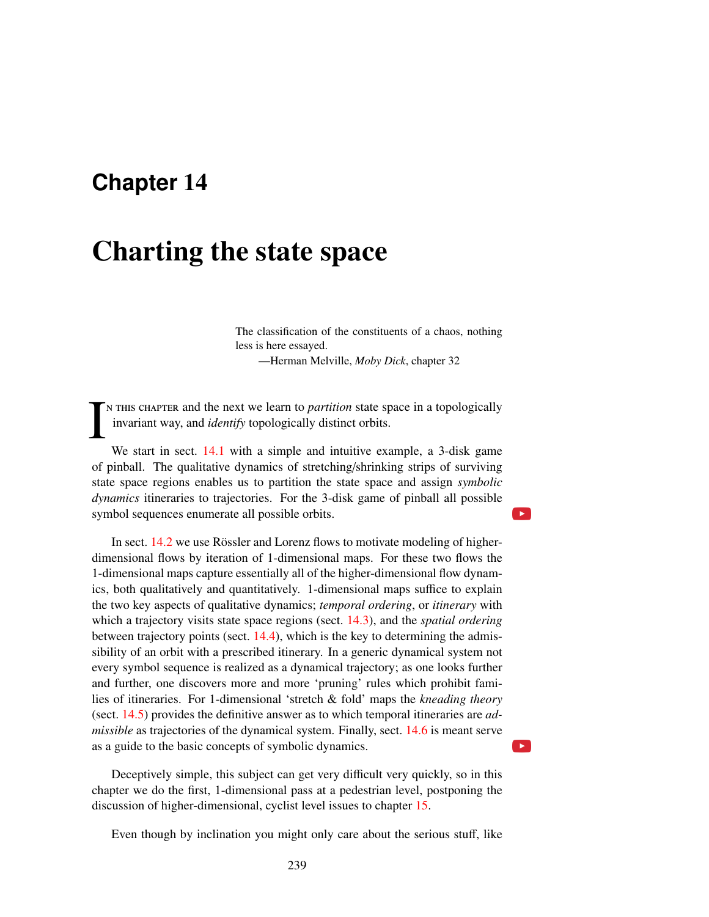# **Chapter** 14

# Charting the state space

The classification of the constituents of a chaos, nothing less is here essayed.

 $\mathbf{p}$ 

 $\blacktriangleright$ 

—Herman Melville, *Moby Dick*, chapter 32

I n this chapter and the next we learn to *partition* state space in a topologically invariant way, and *identify* topologically distinct orbits.

We start in sect. 14.1 with a simple and intuitive example, a 3-disk game of pinball. The qualitative dynamics of stretching/shrinking strips of surviving state space regions enables us to partition the state space and assign *symbolic dynamics* itineraries to trajectories. For the 3-disk game of pinball all possible symbol sequences enumerate all possible orbits.

In sect. 14.2 we use Rössler and Lorenz flows to motivate modeling of higherdimensional flows by iteration of 1-dimensional maps. For these two flows the 1-dimensional maps capture essentially all of the higher-dimensional flow dynamics, both qualitatively and quantitatively. 1-dimensional maps suffice to explain the two key aspects of qualitative dynamics; *temporal ordering*, or *itinerary* with which a trajectory visits state space regions (sect. 14.3), and the *spatial ordering* between trajectory points (sect. 14.4), which is the key to determining the admissibility of an orbit with a prescribed itinerary. In a generic dynamical system not every symbol sequence is realized as a dynamical trajectory; as one looks further and further, one discovers more and more 'pruning' rules which prohibit families of itineraries. For 1-dimensional 'stretch & fold' maps the *kneading theory* (sect. 14.5) provides the definitive answer as to which temporal itineraries are *admissible* as trajectories of the dynamical system. Finally, sect. 14.6 is meant serve as a guide to the basic concepts of symbolic dynamics.

Deceptively simple, this subject can get very difficult very quickly, so in this chapter we do the first, 1-dimensional pass at a pedestrian level, postponing the discussion of higher-dimensional, cyclist level issues to chapter 15.

Even though by inclination you might only care about the serious stuff, like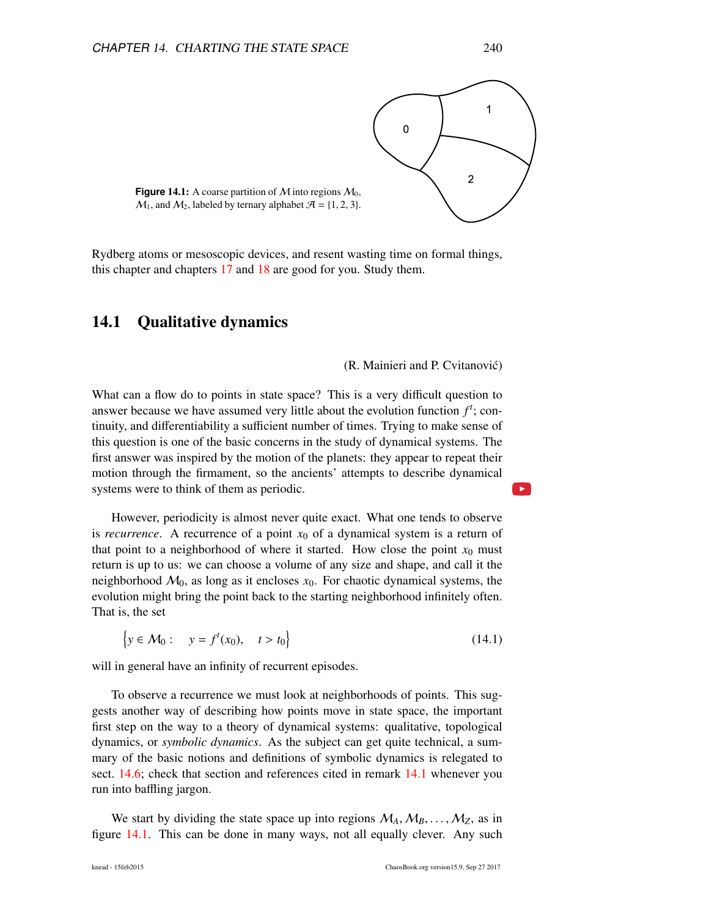

**Figure 14.1:** A coarse partition of  $M$  into regions  $M_0$ ,  $M_1$ , and  $M_2$ , labeled by ternary alphabet  $\mathcal{A} = \{1, 2, 3\}.$ 

Rydberg atoms or mesoscopic devices, and resent wasting time on formal things, this chapter and chapters 17 and 18 are good for you. Study them.

#### 14.1 Qualitative dynamics

#### (R. Mainieri and P. Cvitanovic)´

What can a flow do to points in state space? This is a very difficult question to answer because we have assumed very little about the evolution function  $f^t$ ; continuity, and differentiability a sufficient number of times. Trying to make sense of this question is one of the basic concerns in the study of dynamical systems. The first answer was inspired by the motion of the planets: they appear to repeat their motion through the firmament, so the ancients' attempts to describe dynamical systems were to think of them as periodic.

However, periodicity is almost never quite exact. What one tends to observe is *recurrence*. A recurrence of a point  $x_0$  of a dynamical system is a return of that point to a neighborhood of where it started. How close the point  $x_0$  must return is up to us: we can choose a volume of any size and shape, and call it the neighborhood  $M_0$ , as long as it encloses  $x_0$ . For chaotic dynamical systems, the evolution might bring the point back to the starting neighborhood infinitely often. That is, the set

$$
\left\{ y \in \mathcal{M}_0 : \quad y = f^t(x_0), \quad t > t_0 \right\} \tag{14.1}
$$

will in general have an infinity of recurrent episodes.

To observe a recurrence we must look at neighborhoods of points. This suggests another way of describing how points move in state space, the important first step on the way to a theory of dynamical systems: qualitative, topological dynamics, or *symbolic dynamics*. As the subject can get quite technical, a summary of the basic notions and definitions of symbolic dynamics is relegated to sect. 14.6; check that section and references cited in remark 14.1 whenever you run into baffling jargon.

We start by dividing the state space up into regions  $M_A, M_B, \ldots, M_Z$ , as in figure 14.1. This can be done in many ways, not all equally clever. Any such

n

 $\mathbf{p}$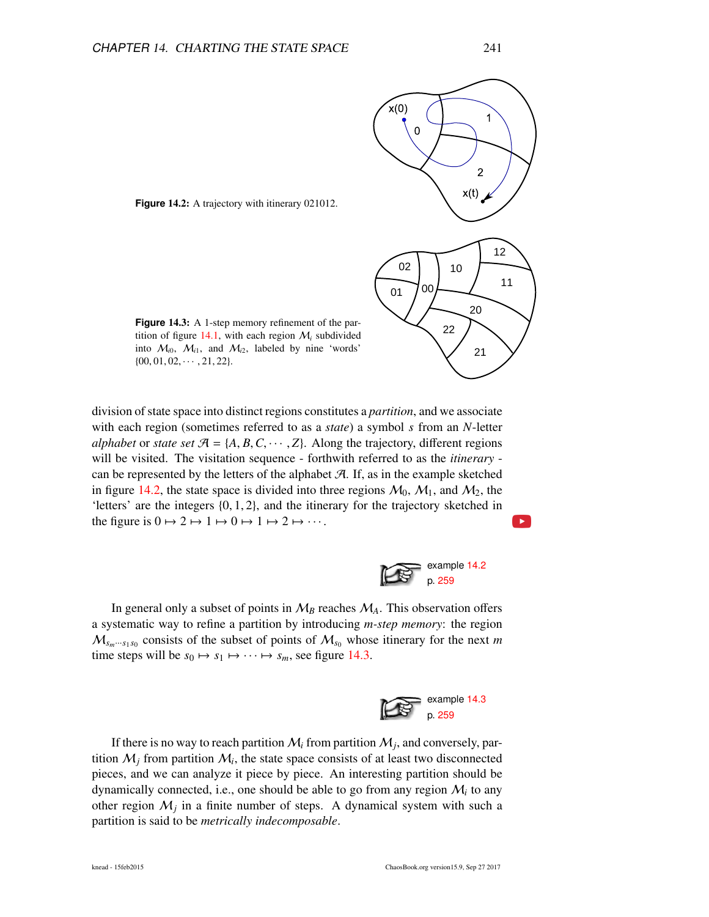

**Figure 14.2:** A trajectory with itinerary 021012.

**Figure** 14.3: A 1-step memory refinement of the partition of figure 14.1, with each region  $M_i$  subdivided into  $M_{i0}$ ,  $M_{i1}$ , and  $M_{i2}$ , labeled by nine 'words'  $\{00, 01, 02, \cdots, 21, 22\}.$ 

division of state space into distinct regions constitutes a *partition*, and we associate with each region (sometimes referred to as a *state*) a symbol *s* from an *N*-letter *alphabet* or *state set*  $A = \{A, B, C, \dots, Z\}$ . Along the trajectory, different regions will be visited. The visitation sequence - forthwith referred to as the *itinerary* can be represented by the letters of the alphabet  $A$ . If, as in the example sketched in figure 14.2, the state space is divided into three regions  $M_0$ ,  $M_1$ , and  $M_2$ , the 'letters' are the integers {0, <sup>1</sup>, <sup>2</sup>}, and the itinerary for the trajectory sketched in the figure is  $0 \mapsto 2 \mapsto 1 \mapsto 0 \mapsto 1 \mapsto 2 \mapsto \cdots$ .



In general only a subset of points in  $M_B$  reaches  $M_A$ . This observation offers a systematic way to refine a partition by introducing *m-step memory*: the region  $M_{s_m\cdots s_1 s_0}$  consists of the subset of points of  $M_{s_0}$  whose itinerary for the next *m* time steps will be  $s_0 \mapsto s_1 \mapsto \cdots \mapsto s_m$ , see figure 14.3.



If there is no way to reach partition  $\mathcal{M}_i$  from partition  $\mathcal{M}_j$ , and conversely, partition  $M_j$  from partition  $M_i$ , the state space consists of at least two disconnected pieces, and we can analyze it piece by piece. An interesting partition should be dynamically connected, i.e., one should be able to go from any region M*<sup>i</sup>* to any other region  $M_j$  in a finite number of steps. A dynamical system with such a partition is said to be *metrically indecomposable*.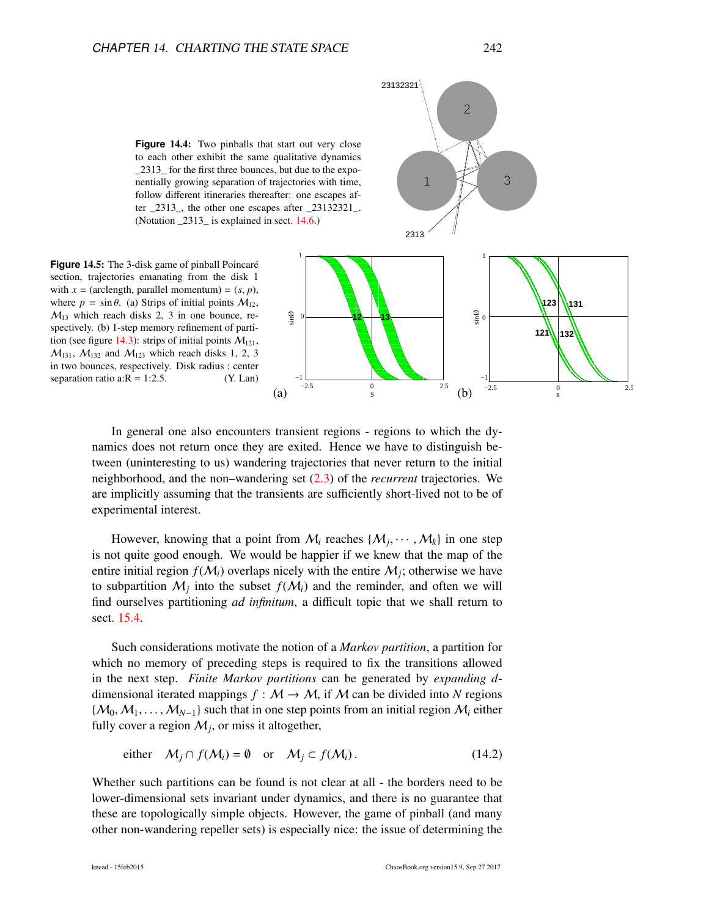3







1

23132321

In general one also encounters transient regions - regions to which the dynamics does not return once they are exited. Hence we have to distinguish between (uninteresting to us) wandering trajectories that never return to the initial neighborhood, and the non–wandering set (2.3) of the *recurrent* trajectories. We are implicitly assuming that the transients are sufficiently short-lived not to be of experimental interest.

However, knowing that a point from  $M_i$  reaches  $\{M_j, \dots, M_k\}$  in one step of quite good enough. We would be happier if we know that the map of the is not quite good enough. We would be happier if we knew that the map of the entire initial region  $f(M_i)$  overlaps nicely with the entire  $M_j$ ; otherwise we have to subpartition  $M_j$  into the subset  $f(M_i)$  and the reminder, and often we will find ourselves partitioning *ad infinitum*, a difficult topic that we shall return to sect. 15.4.

Such considerations motivate the notion of a *Markov partition*, a partition for which no memory of preceding steps is required to fix the transitions allowed in the next step. *Finite Markov partitions* can be generated by *expanding d*dimensional iterated mappings  $f : \mathcal{M} \to \mathcal{M}$ , if  $\mathcal{M}$  can be divided into  $N$  regions  ${M_0, M_1, \ldots, M_{N-1}}$  such that in one step points from an initial region  $M_i$  either fully cover a region  $M_j$ , or miss it altogether,

either 
$$
M_j \cap f(M_i) = \emptyset
$$
 or  $M_j \subset f(M_i)$ . (14.2)

Whether such partitions can be found is not clear at all - the borders need to be lower-dimensional sets invariant under dynamics, and there is no guarantee that these are topologically simple objects. However, the game of pinball (and many other non-wandering repeller sets) is especially nice: the issue of determining the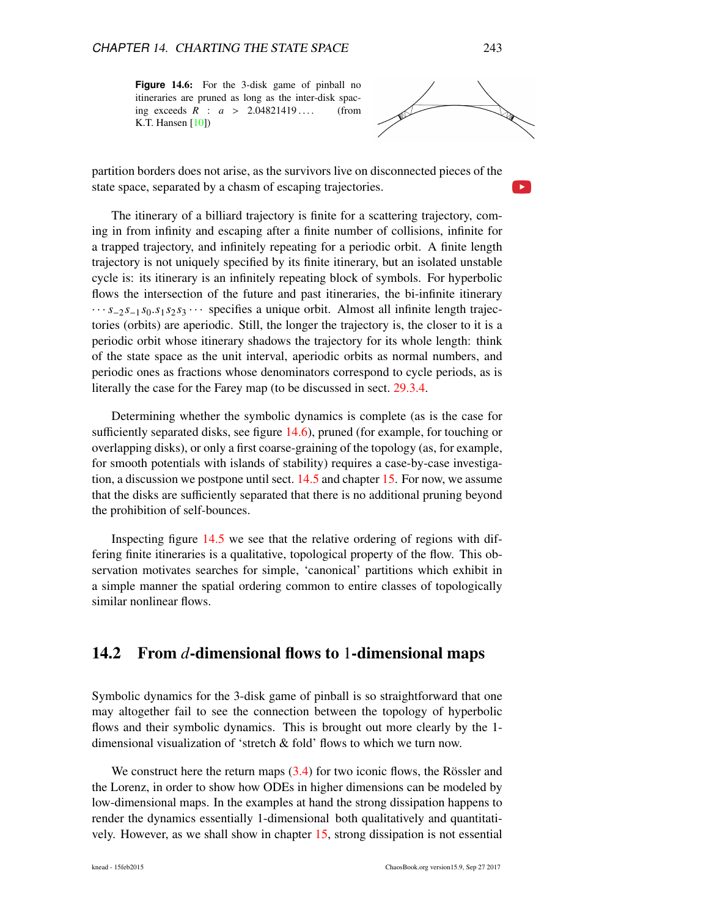$\blacktriangleright$ 

**Figure 14.6:** For the 3-disk game of pinball no itineraries are pruned as long as the inter-disk spacing exceeds  $R : a > 2.04821419...$  (from K.T. Hansen [10])



partition borders does not arise, as the survivors live on disconnected pieces of the state space, separated by a chasm of escaping trajectories.

The itinerary of a billiard trajectory is finite for a scattering trajectory, coming in from infinity and escaping after a finite number of collisions, infinite for a trapped trajectory, and infinitely repeating for a periodic orbit. A finite length trajectory is not uniquely specified by its finite itinerary, but an isolated unstable cycle is: its itinerary is an infinitely repeating block of symbols. For hyperbolic flows the intersection of the future and past itineraries, the bi-infinite itinerary · · · *<sup>s</sup>*−<sup>2</sup> *<sup>s</sup>*−<sup>1</sup> *<sup>s</sup>*0.*s*<sup>1</sup> *<sup>s</sup>*<sup>2</sup> *<sup>s</sup>*<sup>3</sup> · · · specifies a unique orbit. Almost all infinite length trajectories (orbits) are aperiodic. Still, the longer the trajectory is, the closer to it is a periodic orbit whose itinerary shadows the trajectory for its whole length: think of the state space as the unit interval, aperiodic orbits as normal numbers, and periodic ones as fractions whose denominators correspond to cycle periods, as is literally the case for the Farey map (to be discussed in sect. 29.3.4.

Determining whether the symbolic dynamics is complete (as is the case for sufficiently separated disks, see figure 14.6), pruned (for example, for touching or overlapping disks), or only a first coarse-graining of the topology (as, for example, for smooth potentials with islands of stability) requires a case-by-case investigation, a discussion we postpone until sect. 14.5 and chapter 15. For now, we assume that the disks are sufficiently separated that there is no additional pruning beyond the prohibition of self-bounces.

Inspecting figure 14.5 we see that the relative ordering of regions with differing finite itineraries is a qualitative, topological property of the flow. This observation motivates searches for simple, 'canonical' partitions which exhibit in a simple manner the spatial ordering common to entire classes of topologically similar nonlinear flows.

#### 14.2 From *d*-dimensional flows to 1-dimensional maps

Symbolic dynamics for the 3-disk game of pinball is so straightforward that one may altogether fail to see the connection between the topology of hyperbolic flows and their symbolic dynamics. This is brought out more clearly by the 1 dimensional visualization of 'stretch & fold' flows to which we turn now.

We construct here the return maps  $(3.4)$  for two iconic flows, the Rössler and the Lorenz, in order to show how ODEs in higher dimensions can be modeled by low-dimensional maps. In the examples at hand the strong dissipation happens to render the dynamics essentially 1-dimensional both qualitatively and quantitatively. However, as we shall show in chapter 15, strong dissipation is not essential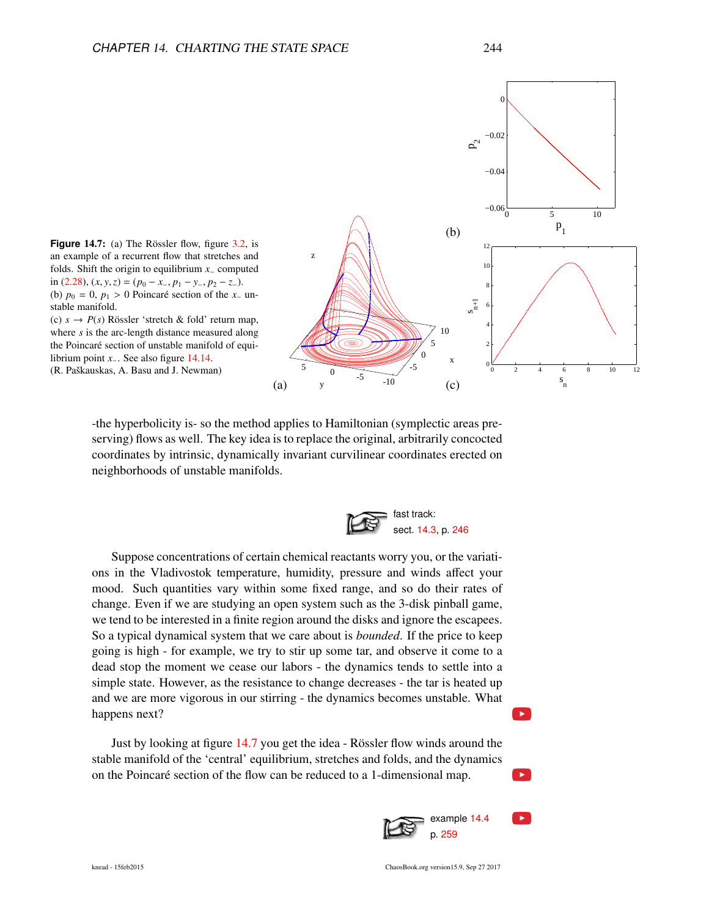

-the hyperbolicity is- so the method applies to Hamiltonian (symplectic areas preserving) flows as well. The key idea is to replace the original, arbitrarily concocted coordinates by intrinsic, dynamically invariant curvilinear coordinates erected on neighborhoods of unstable manifolds.



Suppose concentrations of certain chemical reactants worry you, or the variations in the Vladivostok temperature, humidity, pressure and winds affect your mood. Such quantities vary within some fixed range, and so do their rates of change. Even if we are studying an open system such as the 3-disk pinball game, we tend to be interested in a finite region around the disks and ignore the escapees. So a typical dynamical system that we care about is *bounded*. If the price to keep going is high - for example, we try to stir up some tar, and observe it come to a dead stop the moment we cease our labors - the dynamics tends to settle into a simple state. However, as the resistance to change decreases - the tar is heated up and we are more vigorous in our stirring - the dynamics becomes unstable. What happens next?

Just by looking at figure 14.7 you get the idea - Rössler flow winds around the stable manifold of the 'central' equilibrium, stretches and folds, and the dynamics on the Poincaré section of the flow can be reduced to a 1-dimensional map.



 $\blacktriangleright$ 

 $\mathbf{p}$ 

 $\blacktriangleright$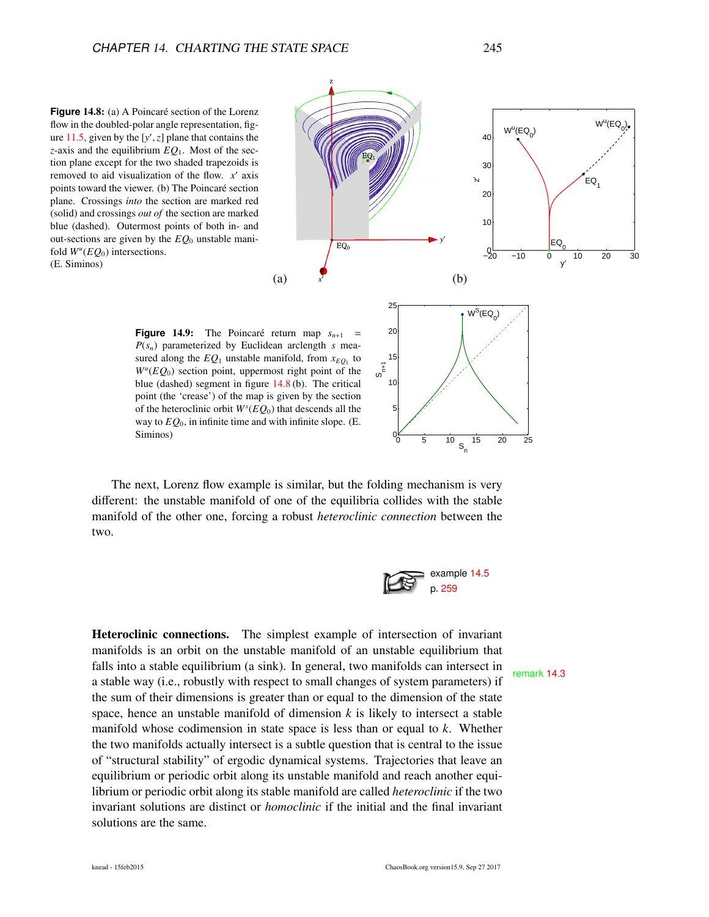**Figure** 14.8: (a) A Poincaré section of the Lorenz flow in the doubled-polar angle representation, figure 11.5, given by the [ $y'$ ,  $z$ ] plane that contains the  $z$ -axis and the equilibrium  $EQ$ . Most of the sec*z*-axis and the equilibrium *EQ*1. Most of the section plane except for the two shaded trapezoids is removed to aid visualization of the flow.  $x'$  axis points toward the viewer. (b) The Poincaré section plane. Crossings *into* the section are marked red (solid) and crossings *out of* the section are marked blue (dashed). Outermost points of both in- and out-sections are given by the  $EQ<sub>0</sub>$  unstable manifold  $W^u(EQ_0)$  intersections. (E. Siminos)

**Figure** 14.9: The Poincaré return map  $s_{n+1}$  =  $P(s_n)$  parameterized by Euclidean arclength *s* measured along the  $EQ_1$  unstable manifold, from  $x_{EQ_1}$  to  $W^u(EQ_0)$  section point, uppermost right point of the blue (dashed) segment in figure 14.8 (b). The critical point (the 'crease') of the map is given by the section of the heteroclinic orbit  $W<sup>s</sup>(EQ<sub>0</sub>)$  that descends all the way to  $EQ_0$ , in infinite time and with infinite slope. (E. Siminos)

The next, Lorenz flow example is similar, but the folding mechanism is very different: the unstable manifold of one of the equilibria collides with the stable manifold of the other one, forcing a robust *heteroclinic connection* between the two.

Heteroclinic connections. The simplest example of intersection of invariant manifolds is an orbit on the unstable manifold of an unstable equilibrium that falls into a stable equilibrium (a sink). In general, two manifolds can intersect in remark 14.3 a stable way (i.e., robustly with respect to small changes of system parameters) if the sum of their dimensions is greater than or equal to the dimension of the state space, hence an unstable manifold of dimension  $k$  is likely to intersect a stable manifold whose codimension in state space is less than or equal to *k*. Whether the two manifolds actually intersect is a subtle question that is central to the issue of "structural stability" of ergodic dynamical systems. Trajectories that leave an equilibrium or periodic orbit along its unstable manifold and reach another equilibrium or periodic orbit along its stable manifold are called *heteroclinic* if the two invariant solutions are distinct or *homoclinic* if the initial and the final invariant solutions are the same.





example 14.5 p. 259

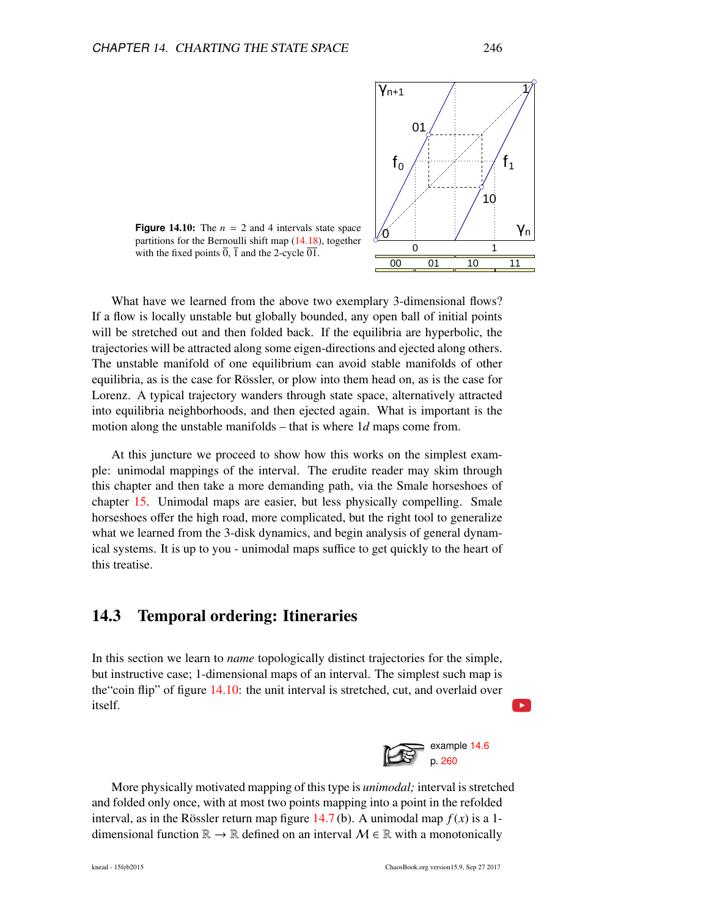

**Figure 14.10:** The  $n = 2$  and 4 intervals state space partitions for the Bernoulli shift map (14.18), together with the fixed points  $\overline{0}$ ,  $\overline{1}$  and the 2-cycle  $\overline{01}$ .

What have we learned from the above two exemplary 3-dimensional flows? If a flow is locally unstable but globally bounded, any open ball of initial points will be stretched out and then folded back. If the equilibria are hyperbolic, the trajectories will be attracted along some eigen-directions and ejected along others. The unstable manifold of one equilibrium can avoid stable manifolds of other equilibria, as is the case for Rössler, or plow into them head on, as is the case for Lorenz. A typical trajectory wanders through state space, alternatively attracted into equilibria neighborhoods, and then ejected again. What is important is the motion along the unstable manifolds – that is where 1*d* maps come from.

At this juncture we proceed to show how this works on the simplest example: unimodal mappings of the interval. The erudite reader may skim through this chapter and then take a more demanding path, via the Smale horseshoes of chapter 15. Unimodal maps are easier, but less physically compelling. Smale horseshoes offer the high road, more complicated, but the right tool to generalize what we learned from the 3-disk dynamics, and begin analysis of general dynamical systems. It is up to you - unimodal maps suffice to get quickly to the heart of this treatise.

#### 14.3 Temporal ordering: Itineraries

In this section we learn to *name* topologically distinct trajectories for the simple, but instructive case; 1-dimensional maps of an interval. The simplest such map is the"coin flip" of figure 14.10: the unit interval is stretched, cut, and overlaid over itself.



 $\blacktriangleright$ 

More physically motivated mapping of this type is *unimodal;* interval is stretched and folded only once, with at most two points mapping into a point in the refolded interval, as in the Rössler return map figure 14.7 (b). A unimodal map  $f(x)$  is a 1dimensional function  $\mathbb{R} \to \mathbb{R}$  defined on an interval  $\mathcal{M} \in \mathbb{R}$  with a monotonically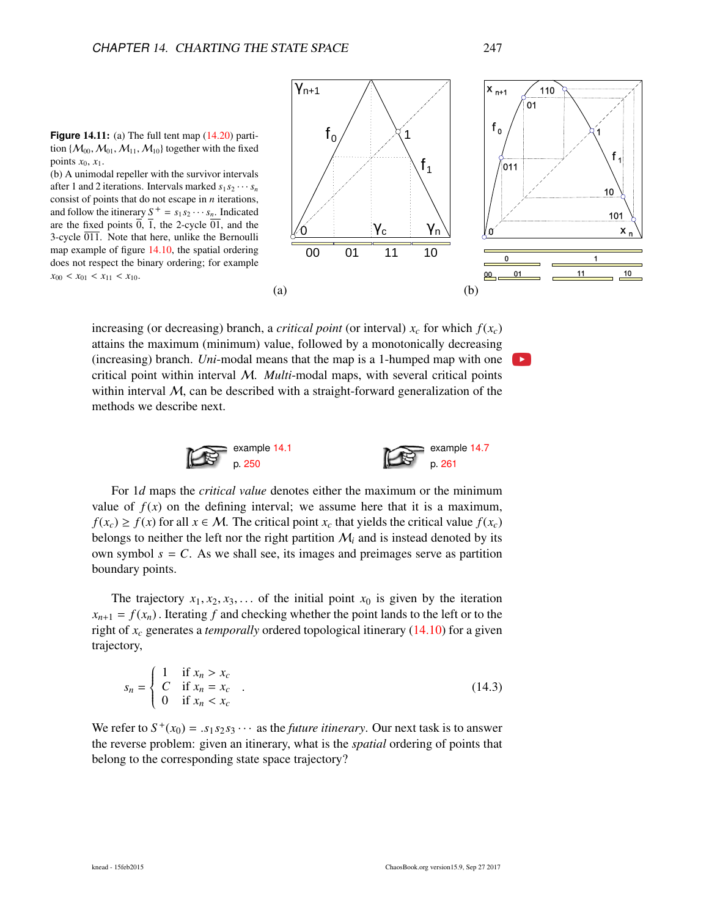$\blacktriangleright$ 



(b) A unimodal repeller with the survivor intervals after 1 and 2 iterations. Intervals marked  $s_1 s_2 \cdots s_n$ consist of points that do not escape in *n* iterations, and follow the itinerary  $S^+ = s_1 s_2 \cdots s_n$ . Indicated are the fixed points  $\overline{0}$ ,  $\overline{1}$ , the 2-cycle  $\overline{01}$ , and the 3-cycle  $\overline{011}$ . Note that here, unlike the Bernoulli map example of figure 14.10, the spatial ordering does not respect the binary ordering; for example  $x_{00} < x_{01} < x_{11} < x_{10}$ .



increasing (or decreasing) branch, a *critical point* (or interval)  $x_c$  for which  $f(x_c)$ attains the maximum (minimum) value, followed by a monotonically decreasing (increasing) branch. *Uni*-modal means that the map is a 1-humped map with one critical point within interval M. *Multi*-modal maps, with several critical points within interval  $M$ , can be described with a straight-forward generalization of the methods we describe next.



For 1*d* maps the *critical value* denotes either the maximum or the minimum value of  $f(x)$  on the defining interval; we assume here that it is a maximum, *f*(*x*<sup>*c*</sup>) ≥ *f*(*x*) for all *x* ∈ *M*. The critical point *x*<sup>*c*</sup> that yields the critical value *f*(*x*<sup>*c*</sup>) belongs to neither the left nor the right partition  $M_i$  and is instead denoted by its own symbol  $s = C$ . As we shall see, its images and preimages serve as partition boundary points.

The trajectory  $x_1, x_2, x_3, \ldots$  of the initial point  $x_0$  is given by the iteration  $x_{n+1} = f(x_n)$ . Iterating *f* and checking whether the point lands to the left or to the right of *x<sup>c</sup>* generates a *temporally* ordered topological itinerary (14.10) for a given trajectory,

$$
s_n = \begin{cases} 1 & \text{if } x_n > x_c \\ C & \text{if } x_n = x_c \\ 0 & \text{if } x_n < x_c \end{cases} \tag{14.3}
$$

We refer to  $S^+(x_0) = .s_1 s_2 s_3 \cdots$  as the *future itinerary*. Our next task is to answer the reverse problem: given an itinerary, what is the *spatial* ordering of points that belong to the corresponding state space trajectory?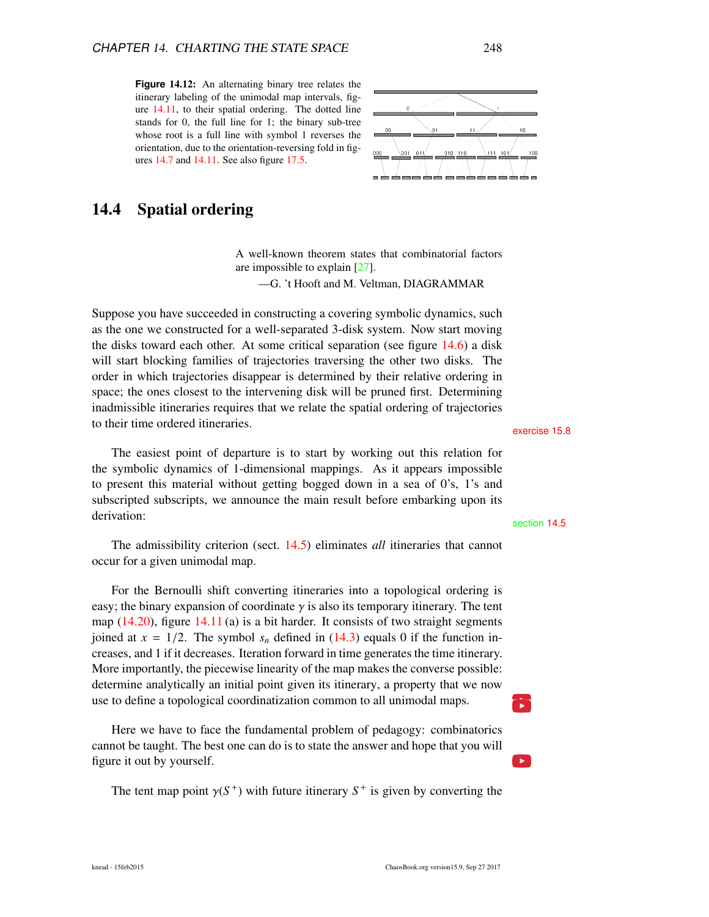**Figure 14.12:** An alternating binary tree relates the itinerary labeling of the unimodal map intervals, figure 14.11, to their spatial ordering. The dotted line stands for 0, the full line for 1; the binary sub-tree whose root is a full line with symbol 1 reverses the orientation, due to the orientation-reversing fold in figures 14.7 and 14.11. See also figure 17.5.

## 14.4 Spatial ordering

A well-known theorem states that combinatorial factors are impossible to explain [27].

—G. 't Hooft and M. Veltman, DIAGRAMMAR

Suppose you have succeeded in constructing a covering symbolic dynamics, such as the one we constructed for a well-separated 3-disk system. Now start moving the disks toward each other. At some critical separation (see figure  $14.6$ ) a disk will start blocking families of trajectories traversing the other two disks. The order in which trajectories disappear is determined by their relative ordering in space; the ones closest to the intervening disk will be pruned first. Determining inadmissible itineraries requires that we relate the spatial ordering of trajectories to their time ordered itineraries. exercise 15.8

The easiest point of departure is to start by working out this relation for the symbolic dynamics of 1-dimensional mappings. As it appears impossible to present this material without getting bogged down in a sea of 0's, 1's and subscripted subscripts, we announce the main result before embarking upon its derivation: section 14.5

The admissibility criterion (sect. 14.5) eliminates *all* itineraries that cannot occur for a given unimodal map.

For the Bernoulli shift converting itineraries into a topological ordering is easy; the binary expansion of coordinate  $\gamma$  is also its temporary itinerary. The tent map  $(14.20)$ , figure 14.11 (a) is a bit harder. It consists of two straight segments joined at  $x = 1/2$ . The symbol  $s_n$  defined in (14.3) equals 0 if the function increases, and 1 if it decreases. Iteration forward in time generates the time itinerary. More importantly, the piecewise linearity of the map makes the converse possible: determine analytically an initial point given its itinerary, a property that we now use to define a topological coordinatization common to all unimodal maps.

Here we have to face the fundamental problem of pedagogy: combinatorics cannot be taught. The best one can do is to state the answer and hope that you will figure it out by yourself.

The tent map point  $\gamma(S^+)$  with future itinerary  $S^+$  is given by converting the

÷

 $\blacktriangleright$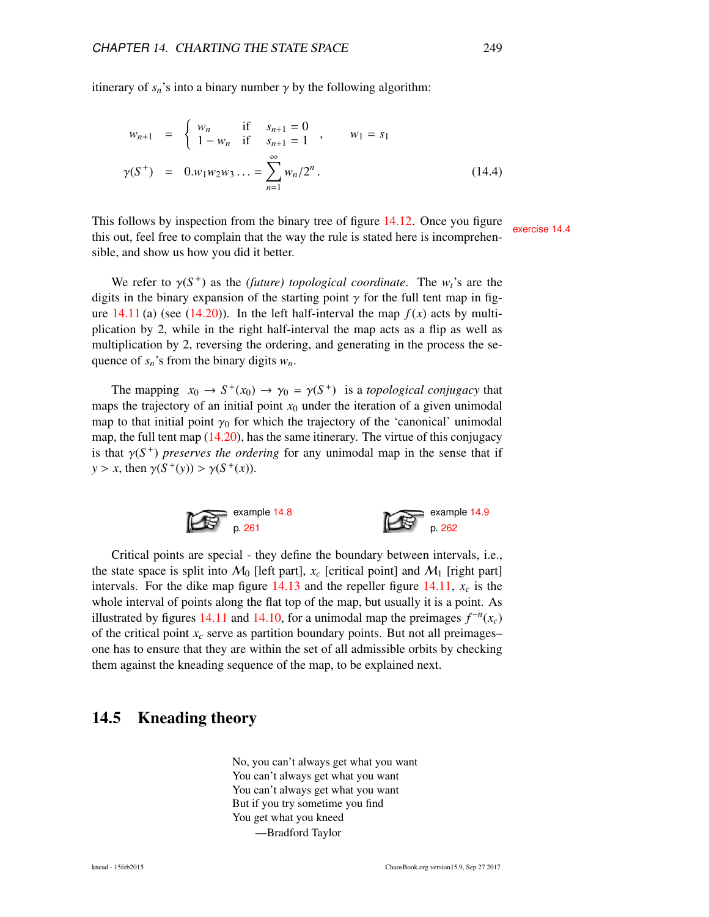itinerary of  $s_n$ 's into a binary number  $\gamma$  by the following algorithm:

$$
w_{n+1} = \begin{cases} w_n & \text{if } s_{n+1} = 0 \\ 1 - w_n & \text{if } s_{n+1} = 1 \end{cases}, \qquad w_1 = s_1
$$
  

$$
\gamma(S^+) = 0.w_1w_2w_3... = \sum_{n=1}^{\infty} w_n/2^n.
$$
 (14.4)

This follows by inspection from the binary tree of figure  $14.12$ . Once you figure exercise 14.4 this out, feel free to complain that the way the rule is stated here is incomprehensible, and show us how you did it better.

We refer to  $\gamma(S^+)$  as the *(future) topological coordinate*. The *w<sub>t</sub>*'s are the in the binary expansion of the starting point  $\gamma$  for the full tent man in figure digits in the binary expansion of the starting point  $\gamma$  for the full tent map in figure 14.11 (a) (see (14.20)). In the left half-interval the map  $f(x)$  acts by multiplication by 2, while in the right half-interval the map acts as a flip as well as multiplication by 2, reversing the ordering, and generating in the process the sequence of *sn*'s from the binary digits *wn*.

The mapping  $x_0 \to S^+(x_0) \to \gamma_0 = \gamma(S^+)$  is a *topological conjugacy* that the trajectory of an initial point  $x_0$  under the iteration of a given unimodal maps the trajectory of an initial point  $x_0$  under the iteration of a given unimodal map to that initial point  $\gamma_0$  for which the trajectory of the 'canonical' unimodal map, the full tent map  $(14.20)$ , has the same itinerary. The virtue of this conjugacy is that  $\gamma(S^+)$  *preserves the ordering* for any unimodal map in the sense that if *y* > *x*, then  $\gamma(S^+(y)) > \gamma(S^+(x))$ .



Critical points are special - they define the boundary between intervals, i.e., the state space is split into  $M_0$  [left part],  $x_c$  [critical point] and  $M_1$  [right part] intervals. For the dike map figure  $14.13$  and the repeller figure  $14.11$ ,  $x_c$  is the whole interval of points along the flat top of the map, but usually it is a point. As illustrated by figures 14.11 and 14.10, for a unimodal map the preimages  $f^{-n}(x_c)$ of the critical point  $x_c$  serve as partition boundary points. But not all preimages– one has to ensure that they are within the set of all admissible orbits by checking them against the kneading sequence of the map, to be explained next.

#### 14.5 Kneading theory

No, you can't always get what you want You can't always get what you want You can't always get what you want But if you try sometime you find You get what you kneed —Bradford Taylor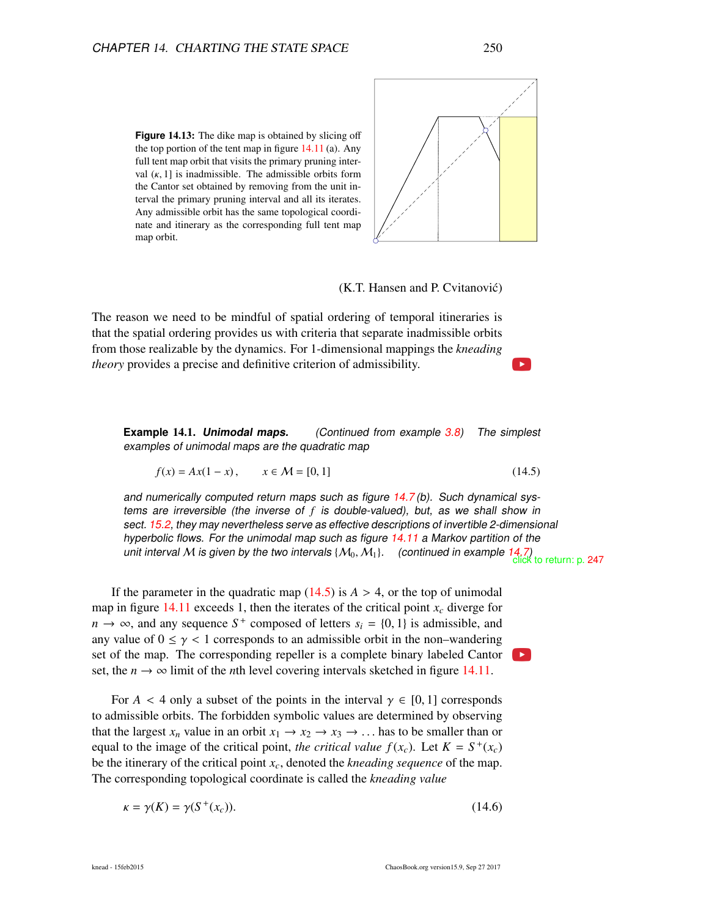**Figure 14.13:** The dike map is obtained by slicing off the top portion of the tent map in figure  $14.11$  (a). Any full tent map orbit that visits the primary pruning interval  $(\kappa, 1)$  is inadmissible. The admissible orbits form the Cantor set obtained by removing from the unit interval the primary pruning interval and all its iterates. Any admissible orbit has the same topological coordinate and itinerary as the corresponding full tent map map orbit.



(K.T. Hansen and P. Cvitanovic)´

The reason we need to be mindful of spatial ordering of temporal itineraries is that the spatial ordering provides us with criteria that separate inadmissible orbits from those realizable by the dynamics. For 1-dimensional mappings the *kneading theory* provides a precise and definitive criterion of admissibility.

**Example 14.1. Unimodal maps.** (Continued from example 3.8) The simplest examples of unimodal maps are the quadratic map

$$
f(x) = Ax(1 - x), \qquad x \in \mathcal{M} = [0, 1]
$$
 (14.5)

and numerically computed return maps such as figure 14.7 (b). Such dynamical systems are irreversible (the inverse of *f* is double-valued), but, as we shall show in sect. 15.2, they may nevertheless serve as effective descriptions of invertible 2-dimensional hyperbolic flows. For the unimodal map such as figure 14.11 a Markov partition of the unit interval M is given by the two intervals { $M_0, M_1$ }. (continued in example 14.7)<br>click to return: p. 247

If the parameter in the quadratic map  $(14.5)$  is  $A > 4$ , or the top of unimodal map in figure  $14.11$  exceeds 1, then the iterates of the critical point  $x_c$  diverge for  $n \to \infty$ , and any sequence  $S^+$  composed of letters  $s_i = \{0, 1\}$  is admissible, and any value of  $0 \le x < 1$  corresponds to an admissible orbit in the non-wandering any value of  $0 \le \gamma < 1$  corresponds to an admissible orbit in the non–wandering set of the map. The corresponding repeller is a complete binary labeled Cantor set, the  $n \to \infty$  limit of the *n*th level covering intervals sketched in figure 14.11.

For  $A < 4$  only a subset of the points in the interval  $\gamma \in [0, 1]$  corresponds to admissible orbits. The forbidden symbolic values are determined by observing that the largest  $x_n$  value in an orbit  $x_1 \rightarrow x_2 \rightarrow x_3 \rightarrow \dots$  has to be smaller than or equal to the image of the critical point, *the critical value*  $f(x_c)$ . Let  $K = S^+(x_c)$ be the itinerary of the critical point *xc*, denoted the *kneading sequence* of the map. The corresponding topological coordinate is called the *kneading value*

$$
\kappa = \gamma(K) = \gamma(S^+(x_c)).\tag{14.6}
$$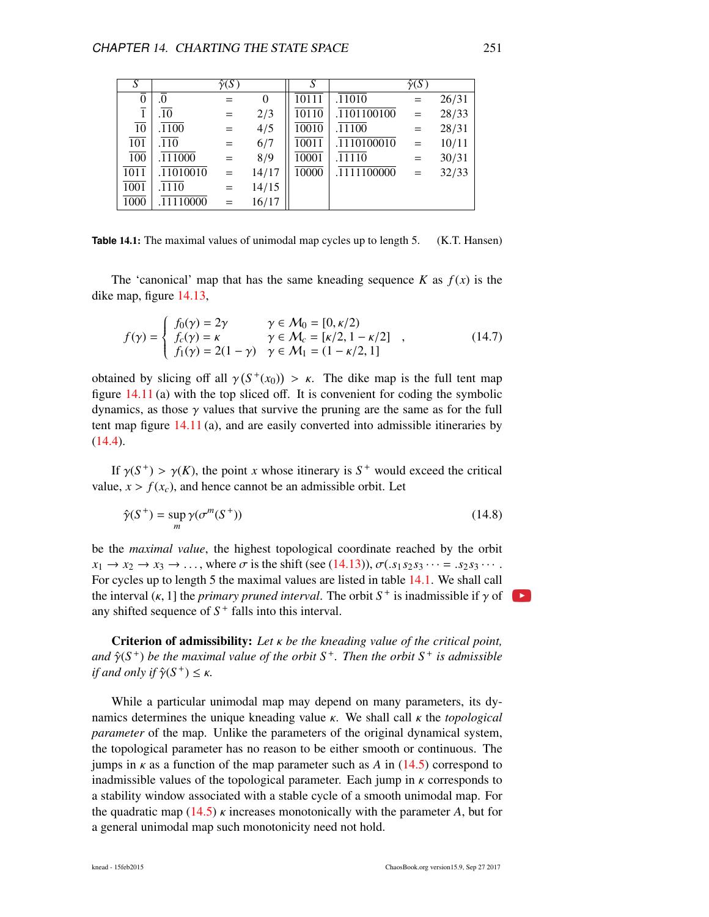| S                |                   | $\hat{\gamma}(S)$ |          | S                  |             | $\hat{\gamma}(S)$ |       |
|------------------|-------------------|-------------------|----------|--------------------|-------------|-------------------|-------|
| $\mathbf{0}$     | 0.                | $=$               | $\theta$ | 10111              | .11010      | $=$               | 26/31 |
|                  | $\overline{10}$   | $=$               | 2/3      | 10110              | .1101100100 | $=$               | 28/33 |
| 10               | .1100             | $=$               | 4/5      | $\overline{10010}$ | .11100      | $=$               | 28/31 |
| $\overline{101}$ | $\overline{.110}$ | $=$               | 6/7      | $\overline{100}11$ | .1110100010 | $=$               | 10/11 |
| $\overline{100}$ | .111000           | $=$               | 8/9      | 10001              | .11110      | $=$               | 30/31 |
| 1011             | .11010010         | $=$               | 14/17    | 10000              | .1111100000 | $=$               | 32/33 |
| 1001             | .1110             | $=$               | 14/15    |                    |             |                   |       |
| $\frac{1000}{ }$ | .11110000         | $=$               | 16/17    |                    |             |                   |       |
|                  |                   |                   |          |                    |             |                   |       |

**Table 14.1:** The maximal values of unimodal map cycles up to length 5. (K.T. Hansen)

The 'canonical' map that has the same kneading sequence *K* as  $f(x)$  is the dike map, figure 14.13,

$$
f(\gamma) = \begin{cases} f_0(\gamma) = 2\gamma & \gamma \in \mathcal{M}_0 = [0, \kappa/2) \\ f_c(\gamma) = \kappa & \gamma \in \mathcal{M}_c = [\kappa/2, 1 - \kappa/2] \\ f_1(\gamma) = 2(1 - \gamma) & \gamma \in \mathcal{M}_1 = (1 - \kappa/2, 1] \end{cases}
$$
 (14.7)

obtained by slicing off all  $\gamma(S^+(x_0)) > \kappa$ . The dike map is the full tent map figure 14.11(a) with the top sliced off. It is convenient for coding the symbolic figure  $14.11$  (a) with the top sliced off. It is convenient for coding the symbolic dynamics, as those  $\gamma$  values that survive the pruning are the same as for the full tent map figure  $14.11$  (a), and are easily converted into admissible itineraries by  $(14.4).$ 

If  $\gamma(S^+) > \gamma(K)$ , the point *x* whose itinerary is  $S^+$  would exceed the critical the  $x > f(x)$  and hence cannot be an admissible orbit. Let value,  $x > f(x_c)$ , and hence cannot be an admissible orbit. Let

$$
\hat{\gamma}(S^+) = \sup_m \gamma(\sigma^m(S^+))
$$
\n(14.8)

be the *maximal value*, the highest topological coordinate reached by the orbit  $x_1 \rightarrow x_2 \rightarrow x_3 \rightarrow \dots$ , where  $\sigma$  is the shift (see (14.13)),  $\sigma(.s_1 s_2 s_3 \cdots = .s_2 s_3 \cdots$ . For cycles up to length 5 the maximal values are listed in table 14.1. We shall call the interval  $(\kappa, 1]$  the *primary pruned interval*. The orbit  $S^+$  is inadmissible if  $\gamma$  of any shifted sequence of  $S^+$  falls into this interval any shifted sequence of  $S<sup>+</sup>$  falls into this interval.

Criterion of admissibility: *Let* κ *be the kneading value of the critical point,*  $and \hat{\gamma}(S^+)$  *be the maximal value of the orbit*  $S^+$ *. Then the orbit*  $S^+$  *is admissible if* and only if  $\hat{\gamma}(S^+)$   $\leq \kappa$ *if and only if*  $\hat{\gamma}(S^+) \leq \kappa$ .

While a particular unimodal map may depend on many parameters, its dynamics determines the unique kneading value κ. We shall call κ the *topological parameter* of the map. Unlike the parameters of the original dynamical system, the topological parameter has no reason to be either smooth or continuous. The jumps in  $\kappa$  as a function of the map parameter such as *A* in (14.5) correspond to inadmissible values of the topological parameter. Each jump in  $\kappa$  corresponds to a stability window associated with a stable cycle of a smooth unimodal map. For the quadratic map  $(14.5)$  k increases monotonically with the parameter A, but for a general unimodal map such monotonicity need not hold.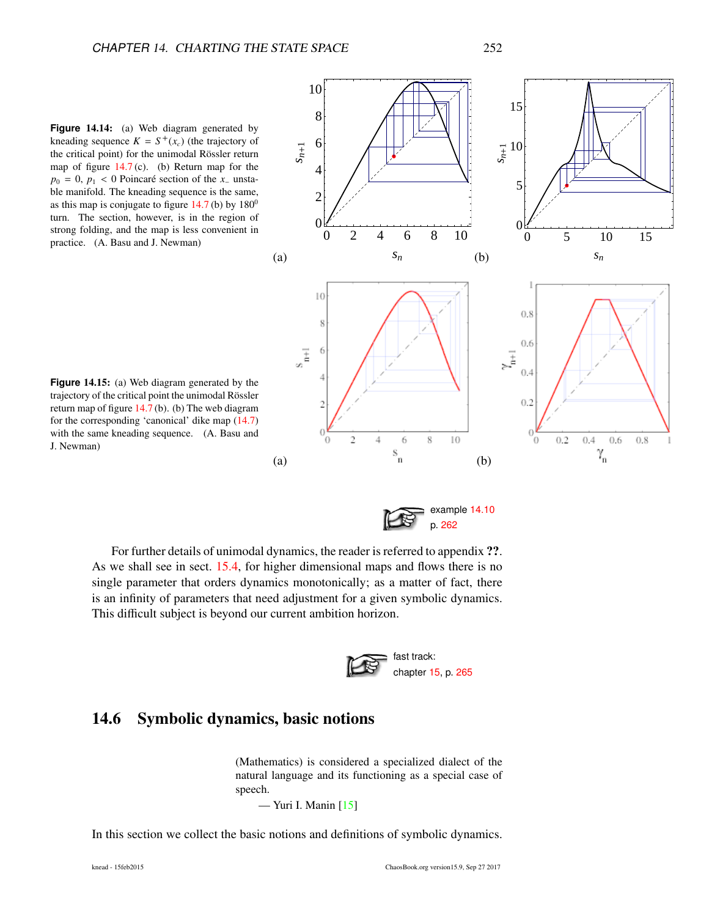**Figure** 14.14: (a) Web diagram generated by kneading sequence  $K = S^+(x_c)$  (the trajectory of the critical point) for the unimodal Rössler return map of figure  $14.7$  (c). (b) Return map for the  $p_0 = 0$ ,  $p_1 < 0$  Poincaré section of the *x*− unstable manifold. The kneading sequence is the same, as this map is conjugate to figure  $14.7$  (b) by  $180^0$ turn. The section, however, is in the region of strong folding, and the map is less convenient in practice. (A. Basu and J. Newman)



**Figure** 14.15: (a) Web diagram generated by the trajectory of the critical point the unimodal Rössler return map of figure 14.7 (b). (b) The web diagram for the corresponding 'canonical' dike map (14.7) with the same kneading sequence. (A. Basu and J. Newman)

> example 14.10 p. 262

For further details of unimodal dynamics, the reader is referred to appendix ??. As we shall see in sect. 15.4, for higher dimensional maps and flows there is no single parameter that orders dynamics monotonically; as a matter of fact, there is an infinity of parameters that need adjustment for a given symbolic dynamics. This difficult subject is beyond our current ambition horizon.



## 14.6 Symbolic dynamics, basic notions

(Mathematics) is considered a specialized dialect of the natural language and its functioning as a special case of speech.

— Yuri I. Manin  $[15]$ 

In this section we collect the basic notions and definitions of symbolic dynamics.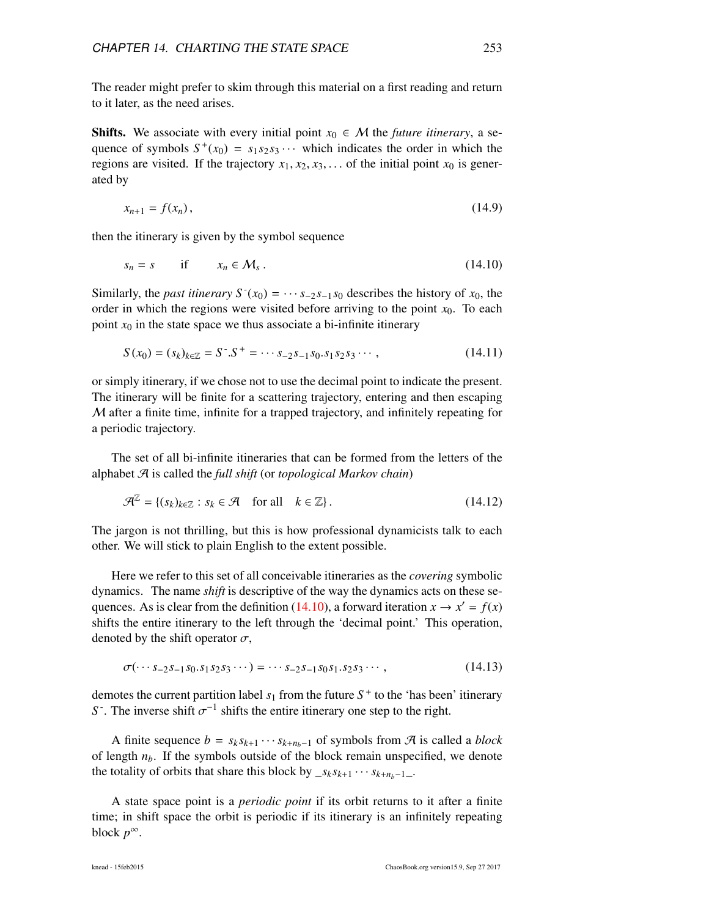The reader might prefer to skim through this material on a first reading and return to it later, as the need arises.

**Shifts.** We associate with every initial point  $x_0 \in M$  the *future itinerary*, a sequence of symbols  $S^+(x_0) = s_1 s_2 s_3 \cdots$  which indicates the order in which the regions are visited. If the trajectory  $x_1, x_2, x_3, \ldots$  of the initial point  $x_0$  is generated by

$$
x_{n+1} = f(x_n),
$$
\n(14.9)

then the itinerary is given by the symbol sequence

$$
s_n = s \qquad \text{if} \qquad x_n \in \mathcal{M}_s \,.
$$

Similarly, the *past itinerary*  $S^{-}(x_0) = \cdots s_{-2} s_{-1} s_0$  describes the history of  $x_0$ , the order in which the regions were visited before arriving to the point  $x_0$ . To each point  $x_0$  in the state space we thus associate a bi-infinite itinerary

$$
S(x_0) = (s_k)_{k \in \mathbb{Z}} = S^- \t S^+ = \cdots s_{-2} s_{-1} s_0 \t s_1 s_2 s_3 \cdots,
$$
 (14.11)

or simply itinerary, if we chose not to use the decimal point to indicate the present. The itinerary will be finite for a scattering trajectory, entering and then escaping M after a finite time, infinite for a trapped trajectory, and infinitely repeating for a periodic trajectory.

The set of all bi-infinite itineraries that can be formed from the letters of the alphabet A is called the *full shift* (or *topological Markov chain*)

$$
\mathcal{A}^{\mathbb{Z}} = \{ (s_k)_{k \in \mathbb{Z}} : s_k \in \mathcal{A} \quad \text{for all} \quad k \in \mathbb{Z} \}. \tag{14.12}
$$

The jargon is not thrilling, but this is how professional dynamicists talk to each other. We will stick to plain English to the extent possible.

Here we refer to this set of all conceivable itineraries as the *covering* symbolic dynamics. The name *shift* is descriptive of the way the dynamics acts on these sequences. As is clear from the definition (14.10), a forward iteration  $x \to x' = f(x)$ shifts the entire itinerary to the left through the 'decimal point.' This operation, denoted by the shift operator  $\sigma$ ,

$$
\sigma(\cdots s_{-2}s_{-1}s_0.s_1s_2s_3\cdots) = \cdots s_{-2}s_{-1}s_0s_1.s_2s_3\cdots,
$$
\n(14.13)

demotes the current partition label  $s_1$  from the future  $S^+$  to the 'has been' itinerary *S*<sup>-</sup>. The inverse shift  $\sigma^{-1}$  shifts the entire itinerary one step to the right.

A finite sequence  $b = s_k s_{k+1} \cdots s_{k+n_b-1}$  of symbols from A is called a *block* of length  $n_b$ . If the symbols outside of the block remain unspecified, we denote the totality of orbits that share this block by  $\_s_k s_{k+1} \cdots s_{k+n_b-1}$ .

A state space point is a *periodic point* if its orbit returns to it after a finite time; in shift space the orbit is periodic if its itinerary is an infinitely repeating block  $p^{\infty}$ .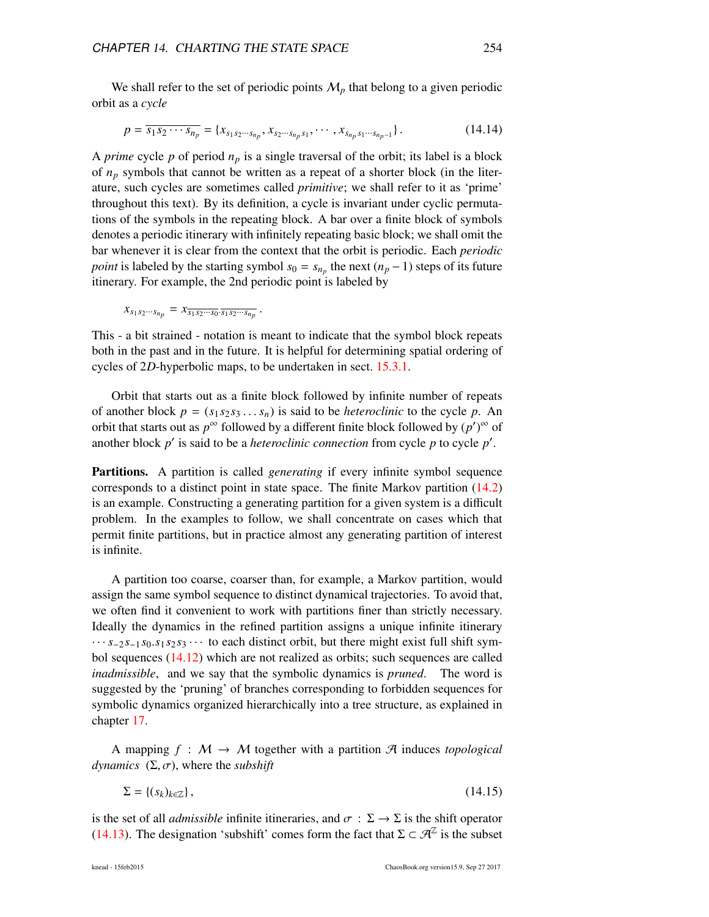We shall refer to the set of periodic points  $M_p$  that belong to a given periodic orbit as a *cycle*

$$
p = \overline{s_1 s_2 \cdots s_{n_p}} = \{x_{s_1 s_2 \cdots s_{n_p}}, x_{s_2 \cdots s_{n_p} s_1}, \cdots, x_{s_{n_p} s_1 \cdots s_{n_p-1}}\}.
$$
 (14.14)

A *prime* cycle *p* of period *n<sup>p</sup>* is a single traversal of the orbit; its label is a block of  $n_p$  symbols that cannot be written as a repeat of a shorter block (in the literature, such cycles are sometimes called *primitive*; we shall refer to it as 'prime' throughout this text). By its definition, a cycle is invariant under cyclic permutations of the symbols in the repeating block. A bar over a finite block of symbols denotes a periodic itinerary with infinitely repeating basic block; we shall omit the bar whenever it is clear from the context that the orbit is periodic. Each *periodic point* is labeled by the starting symbol  $s_0 = s_{n_p}$  the next  $(n_p - 1)$  steps of its future itinerary. For example, the 2nd periodic point is labeled by

$$
x_{s_1s_2\cdots s_{n_p}}=x_{\overline{s_1s_2\cdots s_0}\cdot\overline{s_1s_2\cdots s_{n_p}}}
$$

This - a bit strained - notation is meant to indicate that the symbol block repeats both in the past and in the future. It is helpful for determining spatial ordering of cycles of 2*D*-hyperbolic maps, to be undertaken in sect. 15.3.1.

Orbit that starts out as a finite block followed by infinite number of repeats of another block  $p = (s_1 s_2 s_3 \dots s_n)$  is said to be *heteroclinic* to the cycle p. An orbit that starts out as  $p^{\infty}$  followed by a different finite block followed by  $(p')^{\infty}$  of another block  $p'$  is said to be a *heteroclinic connection* from cycle  $p$  to cycle  $p'$ .

Partitions. A partition is called *generating* if every infinite symbol sequence corresponds to a distinct point in state space. The finite Markov partition (14.2) is an example. Constructing a generating partition for a given system is a difficult problem. In the examples to follow, we shall concentrate on cases which that permit finite partitions, but in practice almost any generating partition of interest is infinite.

A partition too coarse, coarser than, for example, a Markov partition, would assign the same symbol sequence to distinct dynamical trajectories. To avoid that, we often find it convenient to work with partitions finer than strictly necessary. Ideally the dynamics in the refined partition assigns a unique infinite itinerary  $\cdots s_{-2} s_{-1} s_0 s_1 s_2 s_3 \cdots$  to each distinct orbit, but there might exist full shift symbol sequences (14.12) which are not realized as orbits; such sequences are called *inadmissible*, and we say that the symbolic dynamics is *pruned*. The word is suggested by the 'pruning' of branches corresponding to forbidden sequences for symbolic dynamics organized hierarchically into a tree structure, as explained in chapter 17.

A mapping  $f : M \to M$  together with a partition  $\mathcal{A}$  induces *topological dynamics*  $(\Sigma, \sigma)$ , where the *subshift* 

$$
\Sigma = \{(s_k)_{k \in \mathbb{Z}}\},\tag{14.15}
$$

is the set of all *admissible* infinite itineraries, and  $\sigma : \Sigma \to \Sigma$  is the shift operator (14.13). The designation 'subshift' comes form the fact that  $\Sigma \subset \mathcal{A}^{\mathbb{Z}}$  is the subset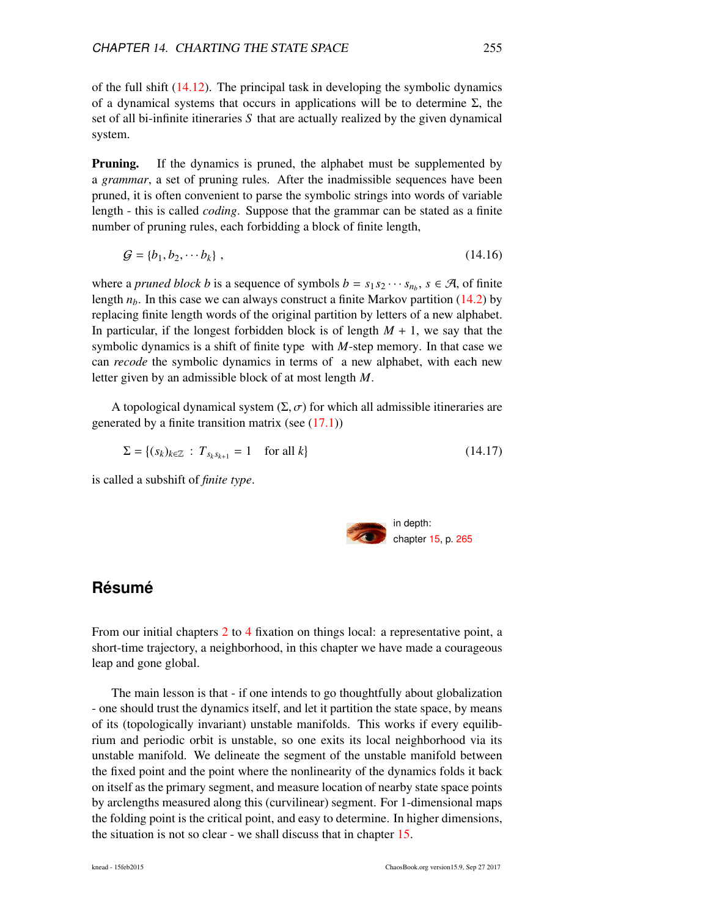of the full shift  $(14.12)$ . The principal task in developing the symbolic dynamics of a dynamical systems that occurs in applications will be to determine  $\Sigma$ , the set of all bi-infinite itineraries *S* that are actually realized by the given dynamical system.

**Pruning.** If the dynamics is pruned, the alphabet must be supplemented by a *grammar*, a set of pruning rules. After the inadmissible sequences have been pruned, it is often convenient to parse the symbolic strings into words of variable length - this is called *coding*. Suppose that the grammar can be stated as a finite number of pruning rules, each forbidding a block of finite length,

$$
G = \{b_1, b_2, \cdots b_k\},\tag{14.16}
$$

where a *pruned block b* is a sequence of symbols  $b = s_1 s_2 \cdots s_{n_b}$ ,  $s \in \mathcal{A}$ , of finite length  $n_b$ . In this case we can always construct a finite Markov partition (14.2) by replacing finite length words of the original partition by letters of a new alphabet. In particular, if the longest forbidden block is of length  $M + 1$ , we say that the symbolic dynamics is a shift of finite type with *M*-step memory. In that case we can *recode* the symbolic dynamics in terms of a new alphabet, with each new letter given by an admissible block of at most length *M*.

A topological dynamical system  $(\Sigma, \sigma)$  for which all admissible itineraries are generated by a finite transition matrix (see  $(17.1)$ )

 $\Sigma = \{(s_k)_{k \in \mathbb{Z}} : T_{s_k s_{k+1}} = 1 \text{ for all } k\}$ (14.17)

is called a subshift of *finite type*.



#### **Résumé**

From our initial chapters 2 to 4 fixation on things local: a representative point, a short-time trajectory, a neighborhood, in this chapter we have made a courageous leap and gone global.

The main lesson is that - if one intends to go thoughtfully about globalization - one should trust the dynamics itself, and let it partition the state space, by means of its (topologically invariant) unstable manifolds. This works if every equilibrium and periodic orbit is unstable, so one exits its local neighborhood via its unstable manifold. We delineate the segment of the unstable manifold between the fixed point and the point where the nonlinearity of the dynamics folds it back on itself as the primary segment, and measure location of nearby state space points by arclengths measured along this (curvilinear) segment. For 1-dimensional maps the folding point is the critical point, and easy to determine. In higher dimensions, the situation is not so clear - we shall discuss that in chapter 15.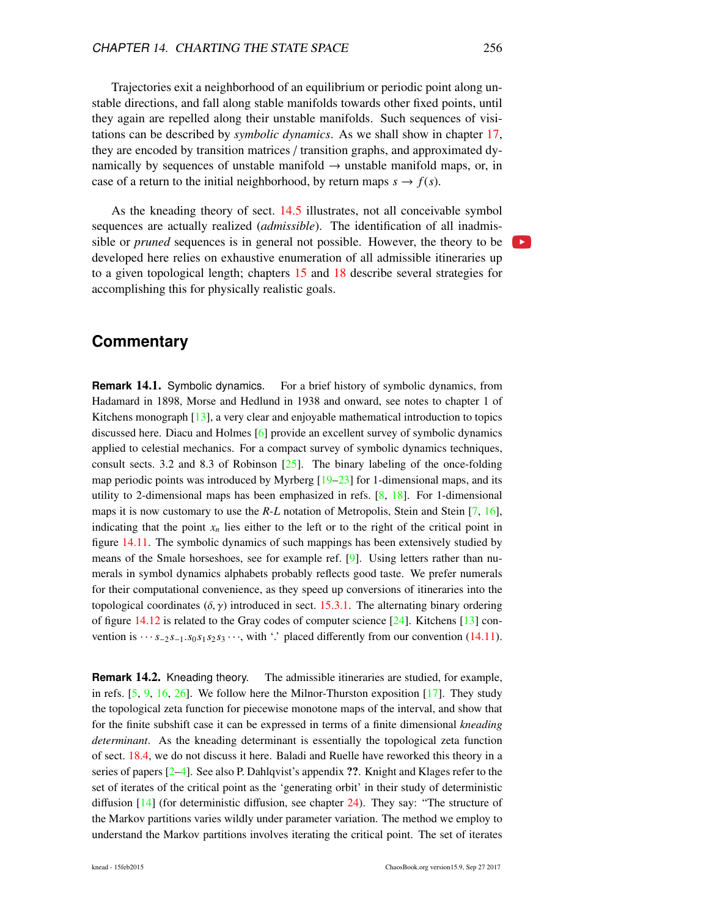Trajectories exit a neighborhood of an equilibrium or periodic point along unstable directions, and fall along stable manifolds towards other fixed points, until they again are repelled along their unstable manifolds. Such sequences of visitations can be described by *symbolic dynamics*. As we shall show in chapter 17, they are encoded by transition matrices / transition graphs, and approximated dynamically by sequences of unstable manifold  $\rightarrow$  unstable manifold maps, or, in case of a return to the initial neighborhood, by return maps  $s \to f(s)$ .

As the kneading theory of sect. 14.5 illustrates, not all conceivable symbol sequences are actually realized (*admissible*). The identification of all inadmissible or *pruned* sequences is in general not possible. However, the theory to be developed here relies on exhaustive enumeration of all admissible itineraries up to a given topological length; chapters 15 and 18 describe several strategies for accomplishing this for physically realistic goals.

#### **Commentary**

**Remark** 14.1. Symbolic dynamics. For a brief history of symbolic dynamics, from Hadamard in 1898, Morse and Hedlund in 1938 and onward, see notes to chapter 1 of Kitchens monograph  $[13]$ , a very clear and enjoyable mathematical introduction to topics discussed here. Diacu and Holmes [6] provide an excellent survey of symbolic dynamics applied to celestial mechanics. For a compact survey of symbolic dynamics techniques, consult sects. 3.2 and 8.3 of Robinson [25]. The binary labeling of the once-folding map periodic points was introduced by Myrberg  $[19-23]$  for 1-dimensional maps, and its utility to 2-dimensional maps has been emphasized in refs.  $[8, 18]$ . For 1-dimensional maps it is now customary to use the *R*-*L* notation of Metropolis, Stein and Stein [7, 16], indicating that the point  $x_n$  lies either to the left or to the right of the critical point in figure 14.11. The symbolic dynamics of such mappings has been extensively studied by means of the Smale horseshoes, see for example ref. [9]. Using letters rather than numerals in symbol dynamics alphabets probably reflects good taste. We prefer numerals for their computational convenience, as they speed up conversions of itineraries into the topological coordinates ( $\delta$ ,  $\gamma$ ) introduced in sect. 15.3.1. The alternating binary ordering of figure 14.12 is related to the Gray codes of computer science [24]. Kitchens [13] convention is  $\cdots$  *s*−2 *s*−1.*s*<sub>0</sub>*s*<sub>1</sub>*s*<sub>2</sub>*s*<sub>3</sub> · · ·, with '.' placed differently from our convention (14.11).

**Remark** 14.2. Kneading theory. The admissible itineraries are studied, for example, in refs.  $[5, 9, 16, 26]$ . We follow here the Milnor-Thurston exposition  $[17]$ . They study the topological zeta function for piecewise monotone maps of the interval, and show that for the finite subshift case it can be expressed in terms of a finite dimensional *kneading determinant*. As the kneading determinant is essentially the topological zeta function of sect. 18.4, we do not discuss it here. Baladi and Ruelle have reworked this theory in a series of papers  $[2-4]$ . See also P. Dahlqvist's appendix ??. Knight and Klages refer to the set of iterates of the critical point as the 'generating orbit' in their study of deterministic diffusion  $[14]$  (for deterministic diffusion, see chapter 24). They say: "The structure of the Markov partitions varies wildly under parameter variation. The method we employ to understand the Markov partitions involves iterating the critical point. The set of iterates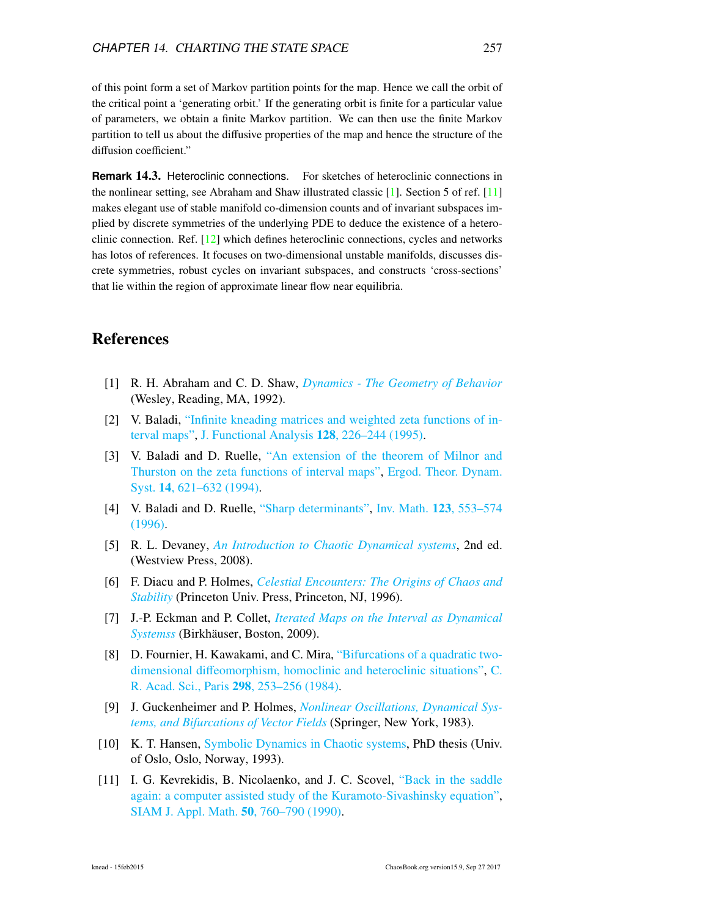of this point form a set of Markov partition points for the map. Hence we call the orbit of the critical point a 'generating orbit.' If the generating orbit is finite for a particular value of parameters, we obtain a finite Markov partition. We can then use the finite Markov partition to tell us about the diffusive properties of the map and hence the structure of the diffusion coefficient."

**Remark** 14.3. Heteroclinic connections. For sketches of heteroclinic connections in the nonlinear setting, see Abraham and Shaw illustrated classic [1]. Section 5 of ref. [11] makes elegant use of stable manifold co-dimension counts and of invariant subspaces implied by discrete symmetries of the underlying PDE to deduce the existence of a heteroclinic connection. Ref. [12] which defines heteroclinic connections, cycles and networks has lotos of references. It focuses on two-dimensional unstable manifolds, discusses discrete symmetries, robust cycles on invariant subspaces, and constructs 'cross-sections' that lie within the region of approximate linear flow near equilibria.

#### References

- [1] R. H. Abraham and C. D. Shaw, *[Dynamics The Geometry of Behavior](http://books.google.com/books?vid=ISBN978-0201567175)* (Wesley, Reading, MA, 1992).
- [2] V. Baladi, ["Infinite kneading matrices and weighted zeta functions of in](http://dx.doi.org/10.1006/jfan.1995.1029)[terval maps",](http://dx.doi.org/10.1006/jfan.1995.1029) [J. Functional Analysis](http://dx.doi.org/10.1006/jfan.1995.1029) 128, 226–244 (1995).
- [3] V. Baladi and D. Ruelle, ["An extension of the theorem of Milnor and](http://dx.doi.org/10.1017/S0143385700008087) [Thurston on the zeta functions of interval maps",](http://dx.doi.org/10.1017/S0143385700008087) [Ergod. Theor. Dynam.](http://dx.doi.org/10.1017/S0143385700008087) Syst. 14[, 621–632 \(1994\).](http://dx.doi.org/10.1017/S0143385700008087)
- [4] V. Baladi and D. Ruelle, ["Sharp determinants",](http://dx.doi.org/10.1007/s002220050040) [Inv. Math.](http://dx.doi.org/10.1007/s002220050040) 123, 553–574 [\(1996\).](http://dx.doi.org/10.1007/s002220050040)
- [5] R. L. Devaney, *[An Introduction to Chaotic Dynamical systems](http://dx.doi.org/10.2307/3619398)*, 2nd ed. (Westview Press, 2008).
- [6] F. Diacu and P. Holmes, *[Celestial Encounters: The Origins of Chaos and](http://books.google.com/books?vid=ISBN9780691005454) [Stability](http://books.google.com/books?vid=ISBN9780691005454)* (Princeton Univ. Press, Princeton, NJ, 1996).
- [7] J.-P. Eckman and P. Collet, *[Iterated Maps on the Interval as Dynamical](http://dx.doi.org/10.1007/978-0-8176-4927-2) [Systemss](http://dx.doi.org/10.1007/978-0-8176-4927-2)* (Birkhäuser, Boston, 2009).
- [8] D. Fournier, H. Kawakami, and C. Mira, ["Bifurcations of a quadratic two](http://gallica.bnf.fr/ark:/12148/bpt6k5493988t/f23.item)dimensional diff[eomorphism, homoclinic and heteroclinic situations",](http://gallica.bnf.fr/ark:/12148/bpt6k5493988t/f23.item) [C.](http://gallica.bnf.fr/ark:/12148/bpt6k5493988t/f23.item) [R. Acad. Sci., Paris](http://gallica.bnf.fr/ark:/12148/bpt6k5493988t/f23.item) 298, 253–256 (1984).
- [9] J. Guckenheimer and P. Holmes, *[Nonlinear Oscillations, Dynamical Sys](http://dx.doi.org/10.1007/978-1-4612-1140-2)[tems, and Bifurcations of Vector Fields](http://dx.doi.org/10.1007/978-1-4612-1140-2)* (Springer, New York, 1983).
- [10] K. T. Hansen, [Symbolic Dynamics in Chaotic systems,](http://ChaosBook.org/projects/KTHansen/thesis) PhD thesis (Univ. of Oslo, Oslo, Norway, 1993).
- [11] I. G. Kevrekidis, B. Nicolaenko, and J. C. Scovel, ["Back in the saddle](http://dx.doi.org/10.1137/0150045) [again: a computer assisted study of the Kuramoto-Sivashinsky equation",](http://dx.doi.org/10.1137/0150045) [SIAM J. Appl. Math.](http://dx.doi.org/10.1137/0150045) 50, 760–790 (1990).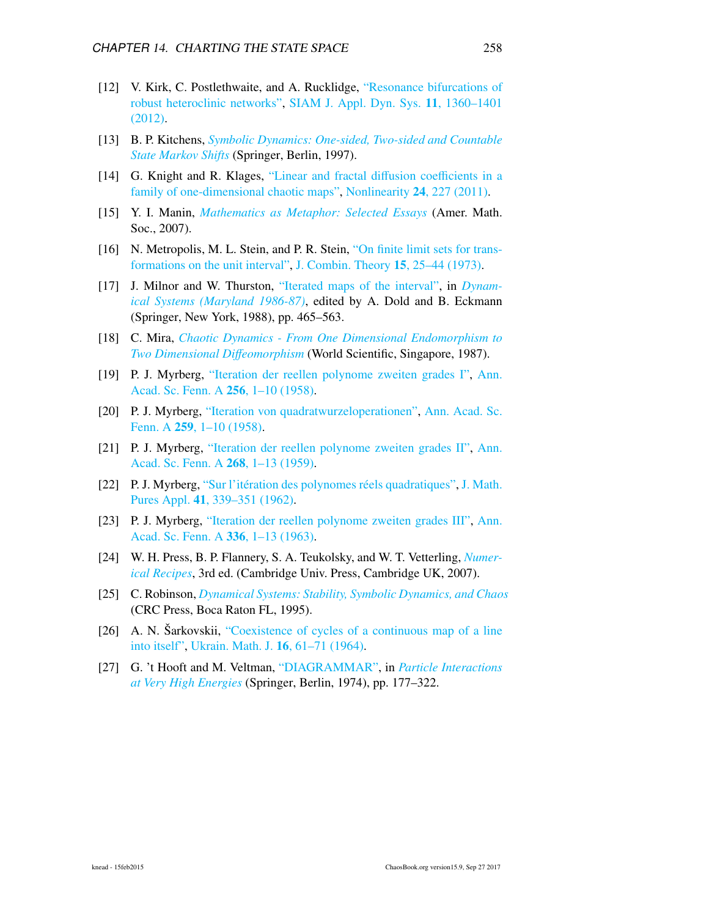- [12] V. Kirk, C. Postlethwaite, and A. Rucklidge, ["Resonance bifurcations of](http://dx.doi.org/10.1137/120864684) [robust heteroclinic networks",](http://dx.doi.org/10.1137/120864684) [SIAM J. Appl. Dyn. Sys.](http://dx.doi.org/10.1137/120864684) 11, 1360–1401 [\(2012\).](http://dx.doi.org/10.1137/120864684)
- [13] B. P. Kitchens, *[Symbolic Dynamics: One-sided, Two-sided and Countable](http://books.google.com/books?vid=ISBN9783540627388) [State Markov Shifts](http://books.google.com/books?vid=ISBN9783540627388)* (Springer, Berlin, 1997).
- [14] G. Knight and R. Klages, ["Linear and fractal di](http://dx.doi.org/10.1088/0951-7715/24/1/011)ffusion coefficients in a [family of one-dimensional chaotic maps",](http://dx.doi.org/10.1088/0951-7715/24/1/011) [Nonlinearity](http://dx.doi.org/10.1088/0951-7715/24/1/011) 24, 227 (2011).
- [15] Y. I. Manin, *[Mathematics as Metaphor: Selected Essays](http://books.google.com/books?vid=ISBN9780821843314)* (Amer. Math. Soc., 2007).
- [16] N. Metropolis, M. L. Stein, and P. R. Stein, ["On finite limit sets for trans](http://dx.doi.org/10.1016/0097-3165(73)90033-2)[formations on the unit interval",](http://dx.doi.org/10.1016/0097-3165(73)90033-2) [J. Combin. Theory](http://dx.doi.org/10.1016/0097-3165(73)90033-2) 15, 25–44 (1973).
- [17] J. Milnor and W. Thurston, ["Iterated maps of the interval",](http://dx.doi.org/10.1007/BFb0082847) in *[Dynam](http://dx.doi.org/10.1007/BFb0082847)[ical Systems \(Maryland 1986-87\)](http://dx.doi.org/10.1007/BFb0082847)*, edited by A. Dold and B. Eckmann (Springer, New York, 1988), pp. 465–563.
- [18] C. Mira, *[Chaotic Dynamics From One Dimensional Endomorphism to](http://books.google.com/books?vid=ISBN978-9971-5-0324-6) [Two Dimensional Di](http://books.google.com/books?vid=ISBN978-9971-5-0324-6)*ff*eomorphism* (World Scientific, Singapore, 1987).
- [19] P. J. Myrberg, ["Iteration der reellen polynome zweiten grades I",](http://inaesp.org/Legacy/myrberg_256_1958.pdf) [Ann.](http://inaesp.org/Legacy/myrberg_256_1958.pdf) [Acad. Sc. Fenn. A](http://inaesp.org/Legacy/myrberg_256_1958.pdf) 256, 1–10 (1958).
- [20] P. J. Myrberg, ["Iteration von quadratwurzeloperationen",](http://inaesp.org/Legacy/myrberg_259_1958.pdf) [Ann. Acad. Sc.](http://inaesp.org/Legacy/myrberg_259_1958.pdf) Fenn. A 259[, 1–10 \(1958\).](http://inaesp.org/Legacy/myrberg_259_1958.pdf)
- [21] P. J. Myrberg, ["Iteration der reellen polynome zweiten grades II",](http://inaesp.org/Legacy/myrberg_iteration_polynome_teil2_268_1959.pdf) [Ann.](http://inaesp.org/Legacy/myrberg_iteration_polynome_teil2_268_1959.pdf) [Acad. Sc. Fenn. A](http://inaesp.org/Legacy/myrberg_iteration_polynome_teil2_268_1959.pdf) 268, 1–13 (1959).
- [22] P. J. Myrberg, ["Sur l'itération des polynomes réels quadratiques",](http://inaesp.org/Legacy/myrberg_polynomes_quadratiques_JMPA1962.pdf) [J. Math.](http://inaesp.org/Legacy/myrberg_polynomes_quadratiques_JMPA1962.pdf) Pures Appl. 41[, 339–351 \(1962\).](http://inaesp.org/Legacy/myrberg_polynomes_quadratiques_JMPA1962.pdf)
- [23] P. J. Myrberg, ["Iteration der reellen polynome zweiten grades III",](http://inaesp.org/Legacy/myrberg_336_1963.pdf) [Ann.](http://inaesp.org/Legacy/myrberg_336_1963.pdf) [Acad. Sc. Fenn. A](http://inaesp.org/Legacy/myrberg_336_1963.pdf) 336, 1–13 (1963).
- [24] W. H. Press, B. P. Flannery, S. A. Teukolsky, and W. T. Vetterling, *[Numer](http://books.google.com/books?vid=ISBN9780521880688)[ical Recipes](http://books.google.com/books?vid=ISBN9780521880688)*, 3rd ed. (Cambridge Univ. Press, Cambridge UK, 2007).
- [25] C. Robinson, *[Dynamical Systems: Stability, Symbolic Dynamics, and Chaos](http://books.google.com/books?vid=ISBN9780849384950)* (CRC Press, Boca Raton FL, 1995).
- [26] A. N. Šarkovskii, ["Coexistence of cycles of a continuous map of a line](http://dx.doi.org/10.1142/S0218127495000934) [into itself",](http://dx.doi.org/10.1142/S0218127495000934) [Ukrain. Math. J.](http://dx.doi.org/10.1142/S0218127495000934) 16, 61–71 (1964).
- [27] G. 't Hooft and M. Veltman, ["DIAGRAMMAR",](http://dx.doi.org/10.1007/978-1-4684-2826-1_5) in *[Particle Interactions](http://dx.doi.org/10.1007/978-1-4684-2826-1_5) [at Very High Energies](http://dx.doi.org/10.1007/978-1-4684-2826-1_5)* (Springer, Berlin, 1974), pp. 177–322.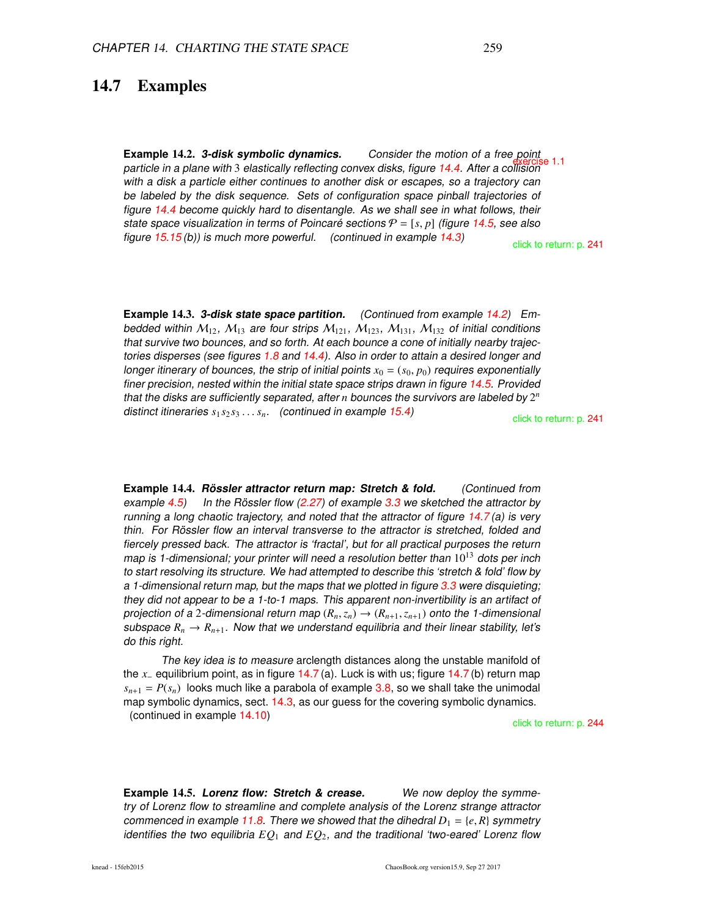#### 14.7 Examples

**Example 14.2. 3-disk symbolic dynamics.** Consider the motion of a free point particle in a plane with 3 elastically reflecting convex disks, figure 14.4. After a collision with a disk a particle either continues to another disk or escapes, so a trajectory can be labeled by the disk sequence. Sets of configuration space pinball trajectories of figure 14.4 become quickly hard to disentangle. As we shall see in what follows, their state space visualization in terms of Poincaré sections  $P = [s, p]$  (figure 14.5, see also figure 15.15 (b)) is much more powerful. (continued in example 14.3)

click to return: p. 241

**Example 14.3. 3-disk state space partition.** (Continued from example 14.2) Embedded within  $M_{12}$ ,  $M_{13}$  are four strips  $M_{121}$ ,  $M_{123}$ ,  $M_{131}$ ,  $M_{132}$  of initial conditions that survive two bounces, and so forth. At each bounce a cone of initially nearby trajectories disperses (see figures 1.8 and 14.4). Also in order to attain a desired longer and longer itinerary of bounces, the strip of initial points  $x_0 = (s_0, p_0)$  requires exponentially finer precision, nested within the initial state space strips drawn in figure 14.5. Provided that the disks are sufficiently separated, after *n* bounces the survivors are labeled by 2 *n* distinct itineraries  $s_1 s_2 s_3 \ldots s_n$ . (continued in example 15.4)

click to return: p. 241

**Example 14.4. Rössler attractor return map: Stretch & fold.** (Continued from example 4.5) In the Rössler flow  $(2.27)$  of example 3.3 we sketched the attractor by running a long chaotic trajectory, and noted that the attractor of figure  $14.7$  (a) is very thin. For Rössler flow an interval transverse to the attractor is stretched, folded and fiercely pressed back. The attractor is 'fractal', but for all practical purposes the return map is 1-dimensional; your printer will need a resolution better than  $10^{13}$  dots per inch to start resolving its structure. We had attempted to describe this 'stretch & fold' flow by a 1-dimensional return map, but the maps that we plotted in figure 3.3 were disquieting; they did not appear to be a 1-to-1 maps. This apparent non-invertibility is an artifact of projection of a 2-dimensional return map  $(R_n, z_n) \rightarrow (R_{n+1}, z_{n+1})$  onto the 1-dimensional subspace  $R_n \to R_{n+1}$ . Now that we understand equilibria and their linear stability, let's do this right.

The key idea is to measure arclength distances along the unstable manifold of the *x*<sup>−</sup> equilibrium point, as in figure 14.7 (a). Luck is with us; figure 14.7 (b) return map  $s_{n+1} = P(s_n)$  looks much like a parabola of example 3.8, so we shall take the unimodal map symbolic dynamics, sect. 14.3, as our guess for the covering symbolic dynamics. (continued in example 14.10)

click to return: p. 244

**Example 14.5. Lorenz flow: Stretch & crease.** We now deploy the symmetry of Lorenz flow to streamline and complete analysis of the Lorenz strange attractor commenced in example 11.8. There we showed that the dihedral  $D_1 = \{e, R\}$  symmetry identifies the two equilibria  $EQ_1$  and  $EQ_2$ , and the traditional 'two-eared' Lorenz flow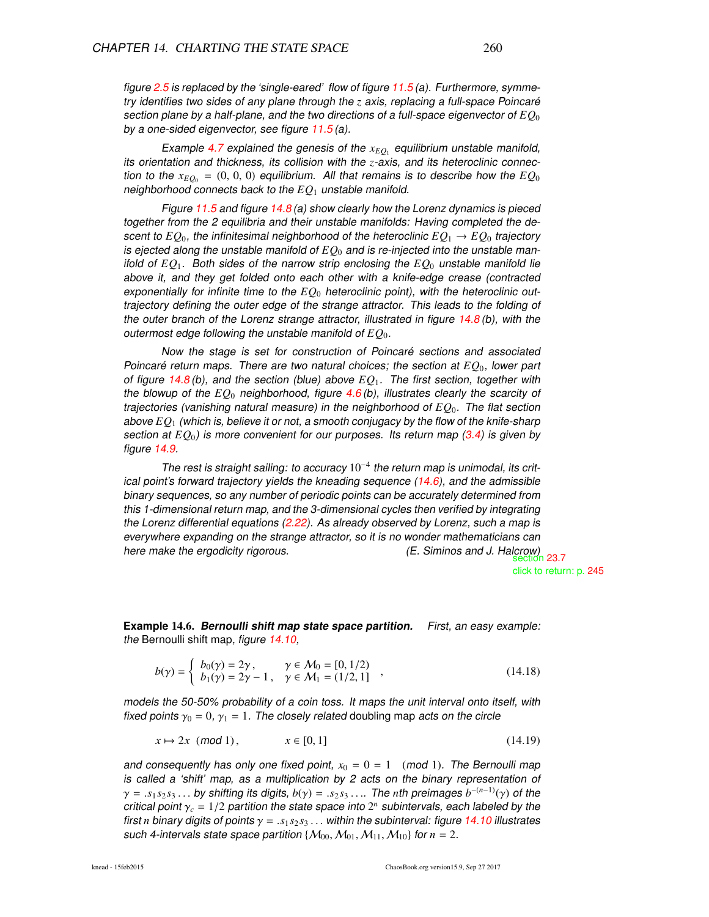figure 2.5 is replaced by the 'single-eared' flow of figure 11.5 (a). Furthermore, symmetry identifies two sides of any plane through the *z* axis, replacing a full-space Poincaré section plane by a half-plane, and the two directions of a full-space eigenvector of *EQ*<sup>0</sup> by a one-sided eigenvector, see figure 11.5 (a).

Example 4.7 explained the genesis of the  $x_{EQ}$ , equilibrium unstable manifold, its orientation and thickness, its collision with the *z*-axis, and its heteroclinic connection to the  $x_{EQ_0} = (0, 0, 0)$  equilibrium. All that remains is to describe how the  $EQ_0$ neighborhood connects back to the *EQ*<sup>1</sup> unstable manifold.

Figure 11.5 and figure 14.8 (a) show clearly how the Lorenz dynamics is pieced together from the 2 equilibria and their unstable manifolds: Having completed the descent to  $EQ_0$ , the infinitesimal neighborhood of the heteroclinic  $EQ_1 \rightarrow EQ_0$  trajectory is ejected along the unstable manifold of  $EO<sub>0</sub>$  and is re-injected into the unstable manifold of  $EQ_1$ . Both sides of the narrow strip enclosing the  $EQ_0$  unstable manifold lie above it, and they get folded onto each other with a knife-edge crease (contracted exponentially for infinite time to the *EQ*<sup>0</sup> heteroclinic point), with the heteroclinic outtrajectory defining the outer edge of the strange attractor. This leads to the folding of the outer branch of the Lorenz strange attractor, illustrated in figure  $14.8$  (b), with the outermost edge following the unstable manifold of *EQ*0.

Now the stage is set for construction of Poincaré sections and associated Poincaré return maps. There are two natural choices; the section at *EQ*0, lower part of figure 14.8 (b), and the section (blue) above  $EQ<sub>1</sub>$ . The first section, together with the blowup of the *EQ*<sup>0</sup> neighborhood, figure 4.6 (b), illustrates clearly the scarcity of trajectories (vanishing natural measure) in the neighborhood of *EQ*0. The flat section above *EQ*<sup>1</sup> (which is, believe it or not, a smooth conjugacy by the flow of the knife-sharp section at *EQ*0) is more convenient for our purposes. Its return map (3.4) is given by figure 14.9.

The rest is straight sailing: to accuracy  $10^{-4}$  the return map is unimodal, its critical point's forward trajectory yields the kneading sequence (14.6), and the admissible binary sequences, so any number of periodic points can be accurately determined from this 1-dimensional return map, and the 3-dimensional cycles then verified by integrating the Lorenz differential equations  $(2.22)$ . As already observed by Lorenz, such a map is everywhere expanding on the strange attractor, so it is no wonder mathematicians can here make the ergodicity rigorous.<br>here make the ergodicity rigorous.

click to return: p. 245

**Example** 14.6. **Bernoulli shift map state space partition.** First, an easy example: the Bernoulli shift map, figure 14.10,

$$
b(\gamma) = \begin{cases} b_0(\gamma) = 2\gamma, & \gamma \in \mathcal{M}_0 = [0, 1/2) \\ b_1(\gamma) = 2\gamma - 1, & \gamma \in \mathcal{M}_1 = (1/2, 1] \end{cases}
$$
 (14.18)

models the 50-50% probability of a coin toss. It maps the unit interval onto itself, with fixed points  $\gamma_0 = 0$ ,  $\gamma_1 = 1$ . The closely related doubling map acts on the circle

$$
x \mapsto 2x \pmod{1}, \qquad x \in [0, 1] \tag{14.19}
$$

and consequently has only one fixed point,  $x_0 = 0 = 1 \pmod{1}$ . The Bernoulli map is called a 'shift' map, as a multiplication by 2 acts on the binary representation of  $γ = .s<sub>1</sub>s<sub>2</sub>s<sub>3</sub>...$  by shifting its digits,  $b(γ) = .s<sub>2</sub>s<sub>3</sub>....$  The *nth preimages*  $b<sup>-(n-1)</sup>(γ)$  of the critical point  $χ = 1/2$  partition the state space into  $2<sup>n</sup>$  subintervals, each labeled by the critical point  $\gamma_c = 1/2$  partition the state space into  $2^n$  subintervals, each labeled by the first *n* binary digits of points  $\gamma = s_1 s_2 s_3$  within the subinterval: figure 14.10 illustrates first *n* binary digits of points  $\gamma = .s_1 s_2 s_3 ...$  within the subinterval: figure 14.10 illustrates such 4-intervals state space partition  ${M_{00}, M_{01}, M_{11}, M_{10}}$  for  $n = 2$ .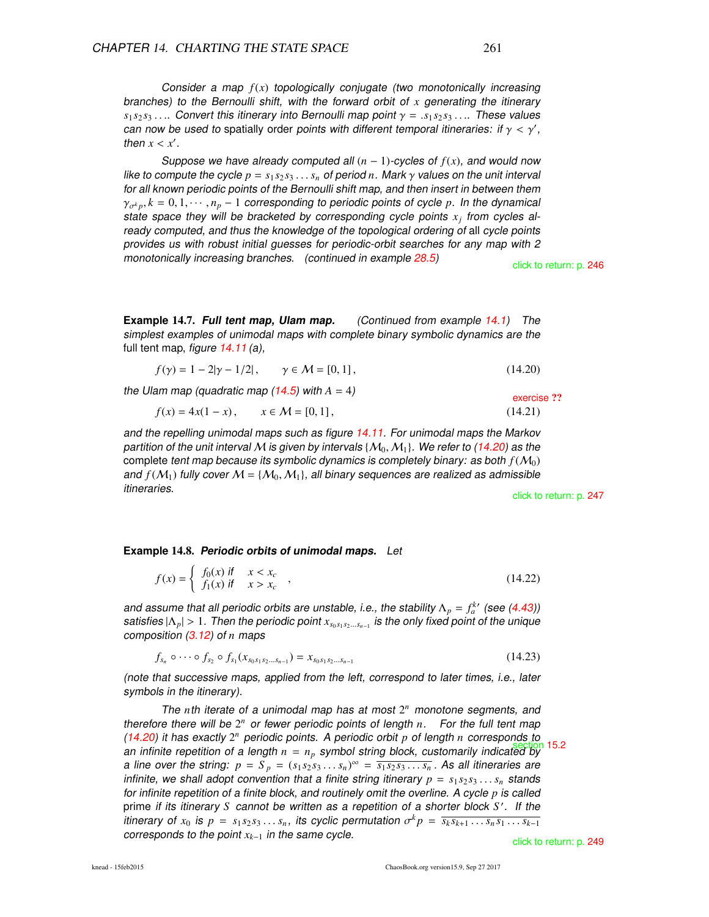Consider a map *f*(*x*) topologically conjugate (two monotonically increasing branches) to the Bernoulli shift, with the forward orbit of *x* generating the itinerary  $s_1 s_2 s_3 \ldots$  Convert this itinerary into Bernoulli map point  $\gamma = s_1 s_2 s_3 \ldots$  These values can now be used to spatially order points with different temporal itineraries: if  $\gamma < \gamma'$ , then  $x < \gamma'$ then  $x < x'$ .

Suppose we have already computed all  $(n - 1)$ -cycles of  $f(x)$ , and would now like to compute the cycle  $p = s_1 s_2 s_3 \ldots s_n$  of period *n*. Mark  $\gamma$  values on the unit interval for all known periodic points of the Bernoulli shift map, and then insert in between them  $\gamma_{\sigma^k p}$ ,  $k = 0, 1, \cdots, n_p - 1$  corresponding to periodic points of cycle *p*. In the dynamical prior  $\gamma_{\sigma^k p}$ ,  $k = 0, 1, \cdots, n_p - 1$  corresponding cycle points  $x$ , from cycles alstate space they will be bracketed by corresponding cycle points *x<sup>j</sup>* from cycles already computed, and thus the knowledge of the topological ordering of all cycle points provides us with robust initial guesses for periodic-orbit searches for any map with 2 monotonically increasing branches. (continued in example 28.5)

click to return: p. 246

**Example** 14.7. **Full tent map, Ulam map.** (Continued from example 14.1) The simplest examples of unimodal maps with complete binary symbolic dynamics are the full tent map, *figure* 14.11 (a),

$$
f(\gamma) = 1 - 2|\gamma - 1/2|, \qquad \gamma \in \mathcal{M} = [0, 1], \tag{14.20}
$$

the Ulam map (quadratic map  $(14.5)$  with  $A = 4$ )

$$
f(x) = 4x(1-x), \qquad x \in \mathcal{M} = [0,1], \tag{14.21}
$$

and the repelling unimodal maps such as figure 14.11. For unimodal maps the Markov partition of the unit interval M is given by intervals { $M_0, M_1$ }. We refer to (14.20) as the complete tent map because its symbolic dynamics is completely binary: as both  $f(M_0)$ and  $f(M_1)$  fully cover  $M = \{M_0, M_1\}$ , all binary sequences are realized as admissible itineraries.

click to return: p. 247

exercise ??

#### **Example** 14.8. **Periodic orbits of unimodal maps.** Let

$$
f(x) = \begin{cases} f_0(x) & \text{if } x < x_c \\ f_1(x) & \text{if } x > x_c \end{cases},\tag{14.22}
$$

and assume that all periodic orbits are unstable, i.e., the stability  $\Lambda_p = f_a^{k\prime}$  (see (4.43)) satisfies  $|\Lambda_p| > 1$ . Then the periodic point  $x_{s_0 s_1 s_2 \ldots s_{n-1}}$  is the only fixed point of the unique composition (3.12) of *n* mans composition (3.12) of *n* maps

$$
f_{s_n} \circ \cdots \circ f_{s_2} \circ f_{s_1}(x_{s_0s_1s_2\ldots s_{n-1}}) = x_{s_0s_1s_2\ldots s_{n-1}}
$$
\n(14.23)

(note that successive maps, applied from the left, correspond to later times, i.e., later symbols in the itinerary).

The *n*th iterate of a unimodal map has at most 2 *<sup>n</sup>* monotone segments, and therefore there will be  $2^n$  or fewer periodic points of length  $n$ . For the full tent map (14.20) it has exactly  $2^n$  periodic points. A periodic orbit p of length n corresponds to<br>an infinite repetition of a length  $n = n_p$  symbol string block, customarily indicated by a line over the string:  $p = S_p = (s_1 s_2 s_3 \dots s_n)^\infty = \overline{s_1 s_2 s_3 \dots s_n}$ . As all itineraries are infinite we shall adopt convention that a finite string itinerary  $p = s_1 s_2 s_3 \dots s_n$  stands infinite, we shall adopt convention that a finite string itinerary  $p = s_1 s_2 s_3 \dots s_n$  stands for infinite repetition of a finite block, and routinely omit the overline. A cycle *p* is called prime if its itinerary *S* cannot be written as a repetition of a shorter block *S* 0 . If the itinerary of  $x_0$  is  $p = s_1 s_2 s_3 \dots s_n$ , its cyclic permutation  $\sigma^k p = \overline{s_k s_{k+1} \dots s_n s_1 \dots s_{k-1}}$  $corresponds$  to the point  $x_{k-1}$  in the same cycle. corresponds to the point  $x_{k-1}$  in the same cycle.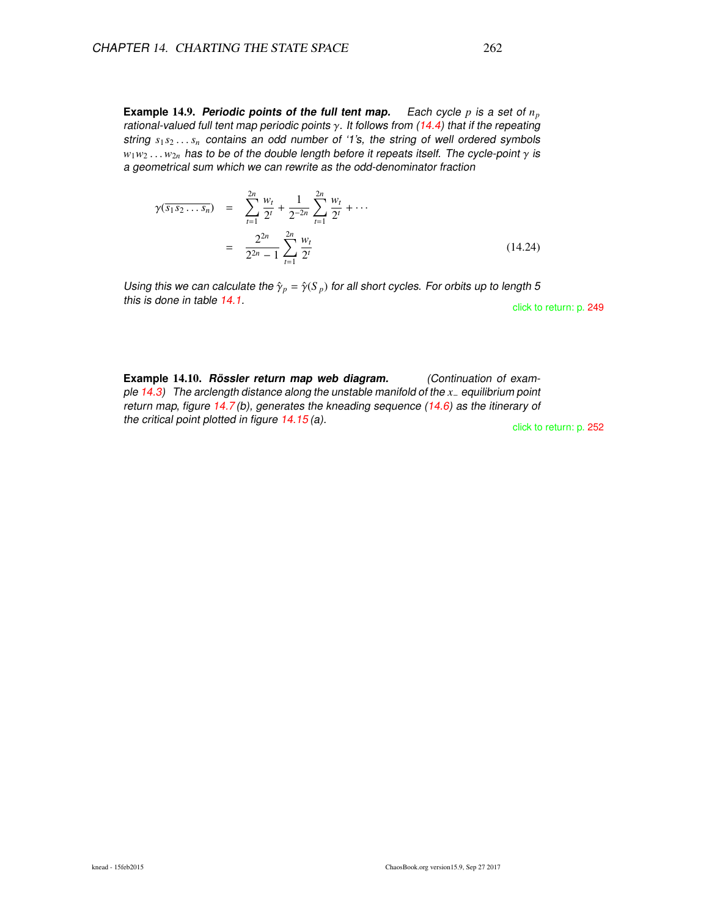**Example 14.9. Periodic points of the full tent map.** Each cycle  $p$  is a set of  $n<sub>p</sub>$ rational-valued full tent map periodic points  $\gamma$ . It follows from (14.4) that if the repeating string  $s_1 s_2 \ldots s_n$  contains an odd number of '1's, the string of well ordered symbols *w*<sub>1</sub>*w*<sub>2</sub> . . . *w*<sub>2*n*</sub> has to be of the double length before it repeats itself. The cycle-point γ is a geometrical sum which we can rewrite as the odd-denominator fraction

$$
\gamma(\overline{s_1 s_2 \dots s_n}) = \sum_{t=1}^{2n} \frac{w_t}{2^t} + \frac{1}{2^{-2n}} \sum_{t=1}^{2n} \frac{w_t}{2^t} + \dots
$$

$$
= \frac{2^{2n}}{2^{2n} - 1} \sum_{t=1}^{2n} \frac{w_t}{2^t}
$$
(14.24)

Using this we can calculate the  $\hat{\gamma}_p = \hat{\gamma}(S_p)$  for all short cycles. For orbits up to length 5 this is done in table 14.1.

click to return: p. 249

**Example 14.10. Rössler return map web diagram.** (Continuation of example 14.3) The arclength distance along the unstable manifold of the *x*<sup>−</sup> equilibrium point return map, figure  $14.7$  (b), generates the kneading sequence  $(14.6)$  as the itinerary of the critical point plotted in figure  $14.15(a)$ . click to return: p. 252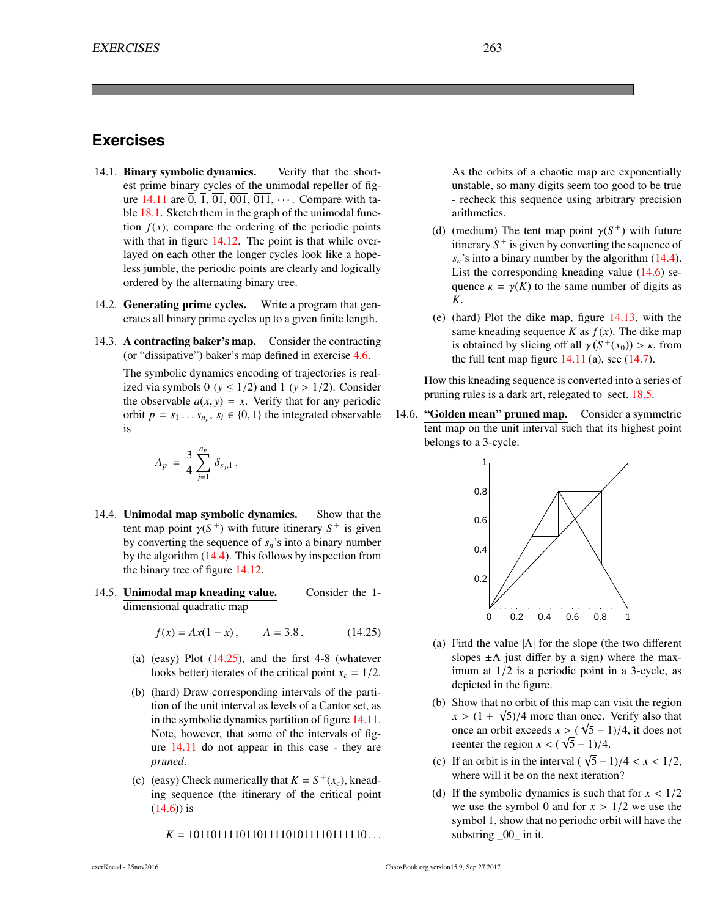## **Exercises**

- 14.1. Binary symbolic dynamics. Verify that the shortest prime binary cycles of the unimodal repeller of figure 14.11 are  $\overline{0}$ ,  $\overline{1}$ ,  $\overline{01}$ ,  $\overline{001}$ ,  $\overline{011}$ ,  $\cdots$ . Compare with table 18.1. Sketch them in the graph of the unimodal function  $f(x)$ ; compare the ordering of the periodic points with that in figure 14.12. The point is that while overlayed on each other the longer cycles look like a hopeless jumble, the periodic points are clearly and logically ordered by the alternating binary tree.
- 14.2. Generating prime cycles. Write a program that generates all binary prime cycles up to a given finite length.
- 14.3. A contracting baker's map. Consider the contracting (or "dissipative") baker's map defined in exercise 4.6.

The symbolic dynamics encoding of trajectories is realized via symbols  $0 (y \le 1/2)$  and  $1 (y > 1/2)$ . Consider the observable  $a(x, y) = x$ . Verify that for any periodic orbit  $p = \overline{s_1 \dots s_{n_p}}$ ,  $s_i \in \{0, 1\}$  the integrated observable is

$$
A_p = \frac{3}{4} \sum_{j=1}^{n_p} \delta_{s_j,1}.
$$

- 14.4. Unimodal map symbolic dynamics. Show that the tent map point  $\gamma(S^+)$  with future itinerary  $S^+$  is given<br>by converting the sequence of s is into a binary number by converting the sequence of *sn*'s into a binary number by the algorithm (14.4). This follows by inspection from the binary tree of figure 14.12.
- 14.5. Unimodal map kneading value. Consider the 1 dimensional quadratic map

 $f(x) = Ax(1-x)$ ,  $A = 3.8$ . (14.25)

- (a) (easy) Plot  $(14.25)$ , and the first 4-8 (whatever looks better) iterates of the critical point  $x_c = 1/2$ .
- (b) (hard) Draw corresponding intervals of the partition of the unit interval as levels of a Cantor set, as in the symbolic dynamics partition of figure 14.11. Note, however, that some of the intervals of figure 14.11 do not appear in this case - they are *pruned*.
- (c) (easy) Check numerically that  $K = S^+(x_c)$ , kneading sequence (the itinerary of the critical point  $(14.6)$ ) is

$$
K = 1011011110110111101011110111110...
$$

As the orbits of a chaotic map are exponentially unstable, so many digits seem too good to be true - recheck this sequence using arbitrary precision arithmetics.

- (d) (medium) The tent map point  $\gamma(S^+)$  with future<br>itinerary  $S^+$  is given by converting the sequence of itinerary  $S^+$  is given by converting the sequence of  $s_n$ 's into a binary number by the algorithm  $(14.4)$ . List the corresponding kneading value (14.6) sequence  $\kappa = \gamma(K)$  to the same number of digits as *K*.
- (e) (hard) Plot the dike map, figure 14.13, with the same kneading sequence *K* as  $f(x)$ . The dike map is obtained by slicing off all  $\gamma(S^+(x_0)) > \kappa$ , from<br>the full tent man figure 14.11 (a), see (14.7) the full tent map figure  $14.11$  (a), see (14.7).

How this kneading sequence is converted into a series of pruning rules is a dark art, relegated to sect. 18.5.

14.6. "Golden mean" pruned map. Consider a symmetric tent map on the unit interval such that its highest point belongs to a 3-cycle:



- (a) Find the value  $|\Lambda|$  for the slope (the two different slopes  $\pm \Lambda$  just differ by a sign) where the maximum at 1/2 is a periodic point in a 3-cycle, as depicted in the figure.
- (b) Show that no orbit of this map can visit the region  $x > (1 + \sqrt{5})/4$  more than once. Verify also that<br>once an orbit exceeds  $x > (\sqrt{5} - 1)/4$  it does not once an orbit exceeds  $x > (\sqrt{5} - 1)/4$ , it does not reenter the region  $x < (\sqrt{5} - 1)/4$ .
- (c) If an orbit is in the interval  $(\sqrt{5} 1)/4 < x < 1/2$ ,<br>where will it be on the next iteration? where will it be on the next iteration?
- (d) If the symbolic dynamics is such that for  $x < 1/2$ we use the symbol 0 and for  $x > 1/2$  we use the symbol 1, show that no periodic orbit will have the substring  $00$  in it.